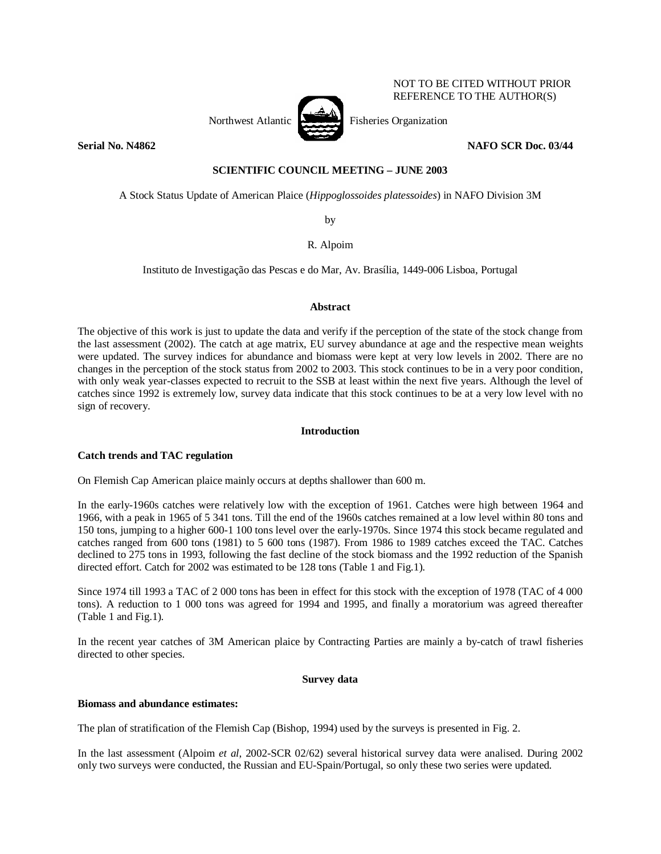

NOT TO BE CITED WITHOUT PRIOR REFERENCE TO THE AUTHOR(S)

# **Serial No. N4862** NAFO SCR Doc. 03/44

## **SCIENTIFIC COUNCIL MEETING – JUNE 2003**

A Stock Status Update of American Plaice (*Hippoglossoides platessoides*) in NAFO Division 3M

by

R. Alpoim

Instituto de Investigação das Pescas e do Mar, Av. Brasília, 1449-006 Lisboa, Portugal

## **Abstract**

The objective of this work is just to update the data and verify if the perception of the state of the stock change from the last assessment (2002). The catch at age matrix, EU survey abundance at age and the respective mean weights were updated. The survey indices for abundance and biomass were kept at very low levels in 2002. There are no changes in the perception of the stock status from 2002 to 2003. This stock continues to be in a very poor condition, with only weak year-classes expected to recruit to the SSB at least within the next five years. Although the level of catches since 1992 is extremely low, survey data indicate that this stock continues to be at a very low level with no sign of recovery.

## **Introduction**

# **Catch trends and TAC regulation**

On Flemish Cap American plaice mainly occurs at depths shallower than 600 m.

In the early-1960s catches were relatively low with the exception of 1961. Catches were high between 1964 and 1966, with a peak in 1965 of 5 341 tons. Till the end of the 1960s catches remained at a low level within 80 tons and 150 tons, jumping to a higher 600-1 100 tons level over the early-1970s. Since 1974 this stock became regulated and catches ranged from 600 tons (1981) to 5 600 tons (1987). From 1986 to 1989 catches exceed the TAC. Catches declined to 275 tons in 1993, following the fast decline of the stock biomass and the 1992 reduction of the Spanish directed effort. Catch for 2002 was estimated to be 128 tons (Table 1 and Fig.1).

Since 1974 till 1993 a TAC of 2 000 tons has been in effect for this stock with the exception of 1978 (TAC of 4 000 tons). A reduction to 1 000 tons was agreed for 1994 and 1995, and finally a moratorium was agreed thereafter (Table 1 and Fig.1).

In the recent year catches of 3M American plaice by Contracting Parties are mainly a by-catch of trawl fisheries directed to other species.

## **Survey data**

## **Biomass and abundance estimates:**

The plan of stratification of the Flemish Cap (Bishop, 1994) used by the surveys is presented in Fig. 2.

In the last assessment (Alpoim *et al*, 2002-SCR 02/62) several historical survey data were analised. During 2002 only two surveys were conducted, the Russian and EU-Spain/Portugal, so only these two series were updated.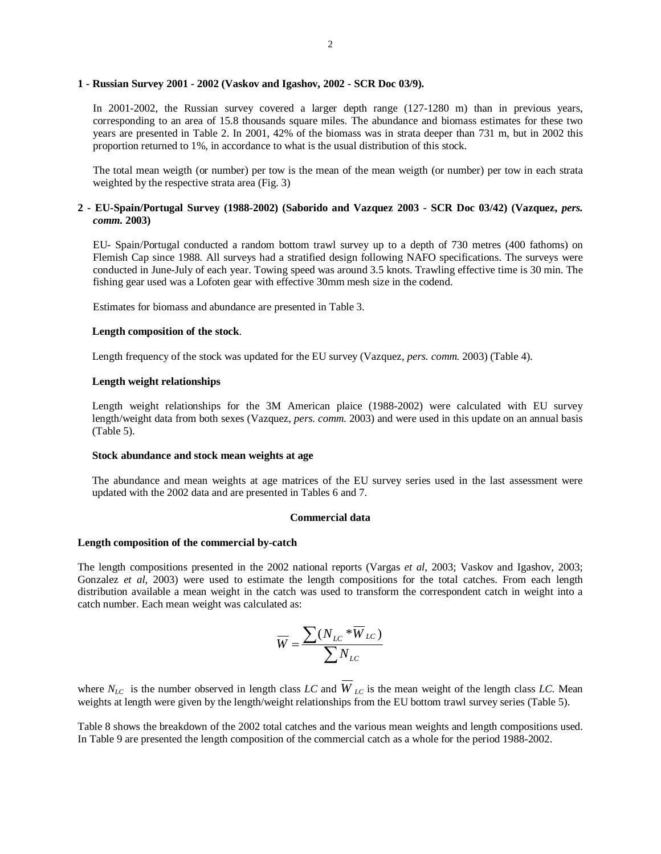### **1 - Russian Survey 2001 - 2002 (Vaskov and Igashov, 2002 - SCR Doc 03/9).**

In 2001-2002, the Russian survey covered a larger depth range (127-1280 m) than in previous years, corresponding to an area of 15.8 thousands square miles. The abundance and biomass estimates for these two years are presented in Table 2. In 2001, 42% of the biomass was in strata deeper than 731 m, but in 2002 this proportion returned to 1%, in accordance to what is the usual distribution of this stock.

The total mean weigth (or number) per tow is the mean of the mean weigth (or number) per tow in each strata weighted by the respective strata area (Fig. 3)

## **2 - EU-Spain/Portugal Survey (1988-2002) (Saborido and Vazquez 2003 - SCR Doc 03/42) (Vazquez,** *pers. comm.* **2003)**

EU- Spain/Portugal conducted a random bottom trawl survey up to a depth of 730 metres (400 fathoms) on Flemish Cap since 1988. All surveys had a stratified design following NAFO specifications. The surveys were conducted in June-July of each year. Towing speed was around 3.5 knots. Trawling effective time is 30 min. The fishing gear used was a Lofoten gear with effective 30mm mesh size in the codend.

Estimates for biomass and abundance are presented in Table 3.

### **Length composition of the stock**.

Length frequency of the stock was updated for the EU survey (Vazquez, *pers. comm.* 2003) (Table 4).

#### **Length weight relationships**

Length weight relationships for the 3M American plaice (1988-2002) were calculated with EU survey length/weight data from both sexes (Vazquez, *pers. comm*. 2003) and were used in this update on an annual basis (Table 5).

### **Stock abundance and stock mean weights at age**

The abundance and mean weights at age matrices of the EU survey series used in the last assessment were updated with the 2002 data and are presented in Tables 6 and 7.

#### **Commercial data**

#### **Length composition of the commercial by-catch**

The length compositions presented in the 2002 national reports (Vargas *et al*, 2003; Vaskov and Igashov, 2003; Gonzalez *et al*, 2003) were used to estimate the length compositions for the total catches. From each length distribution available a mean weight in the catch was used to transform the correspondent catch in weight into a catch number. Each mean weight was calculated as:

$$
\overline{W} = \frac{\sum (N_{LC} * \overline{W}_{LC})}{\sum N_{LC}}
$$

where  $N_{LC}$  is the number observed in length class *LC* and  $W_{LC}$  is the mean weight of the length class *LC*. Mean weights at length were given by the length/weight relationships from the EU bottom trawl survey series (Table 5).

Table 8 shows the breakdown of the 2002 total catches and the various mean weights and length compositions used. In Table 9 are presented the length composition of the commercial catch as a whole for the period 1988-2002.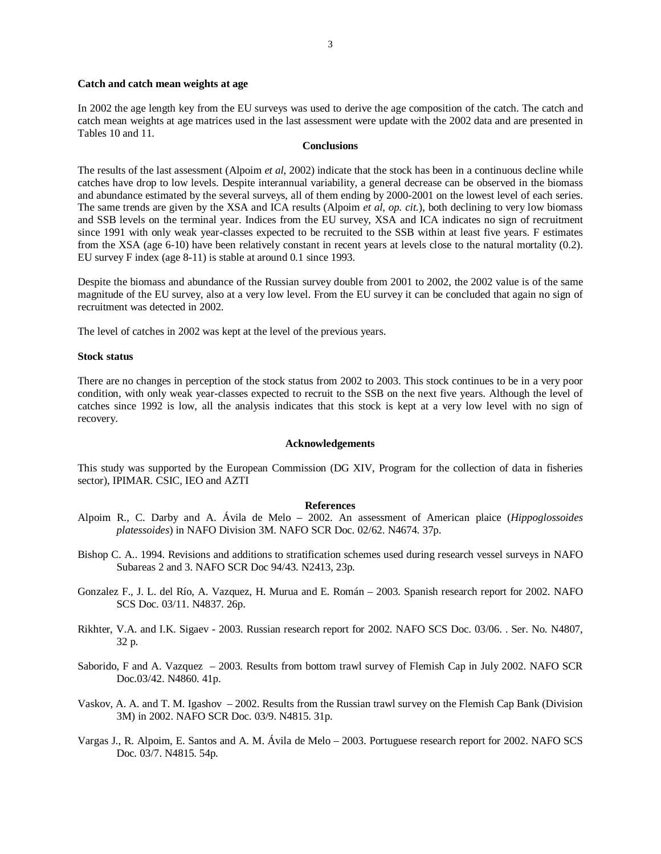#### **Catch and catch mean weights at age**

In 2002 the age length key from the EU surveys was used to derive the age composition of the catch. The catch and catch mean weights at age matrices used in the last assessment were update with the 2002 data and are presented in Tables 10 and 11.

#### **Conclusions**

The results of the last assessment (Alpoim *et al*, 2002) indicate that the stock has been in a continuous decline while catches have drop to low levels. Despite interannual variability, a general decrease can be observed in the biomass and abundance estimated by the several surveys, all of them ending by 2000-2001 on the lowest level of each series. The same trends are given by the XSA and ICA results (Alpoim *et al*, *op. cit.*), both declining to very low biomass and SSB levels on the terminal year. Indices from the EU survey, XSA and ICA indicates no sign of recruitment since 1991 with only weak year-classes expected to be recruited to the SSB within at least five years. F estimates from the XSA (age 6-10) have been relatively constant in recent years at levels close to the natural mortality (0.2). EU survey F index (age 8-11) is stable at around 0.1 since 1993.

Despite the biomass and abundance of the Russian survey double from 2001 to 2002, the 2002 value is of the same magnitude of the EU survey, also at a very low level. From the EU survey it can be concluded that again no sign of recruitment was detected in 2002.

The level of catches in 2002 was kept at the level of the previous years.

## **Stock status**

There are no changes in perception of the stock status from 2002 to 2003. This stock continues to be in a very poor condition, with only weak year-classes expected to recruit to the SSB on the next five years. Although the level of catches since 1992 is low, all the analysis indicates that this stock is kept at a very low level with no sign of recovery.

#### **Acknowledgements**

This study was supported by the European Commission (DG XIV, Program for the collection of data in fisheries sector), IPIMAR. CSIC, IEO and AZTI

## **References**

- Alpoim R., C. Darby and A. Ávila de Melo 2002. An assessment of American plaice (*Hippoglossoides platessoides*) in NAFO Division 3M. NAFO SCR Doc. 02/62. N4674. 37p.
- Bishop C. A.. 1994. Revisions and additions to stratification schemes used during research vessel surveys in NAFO Subareas 2 and 3. NAFO SCR Doc 94/43. N2413, 23p.
- Gonzalez F., J. L. del Río, A. Vazquez, H. Murua and E. Román 2003. Spanish research report for 2002. NAFO SCS Doc. 03/11. N4837. 26p.
- Rikhter, V.A. and I.K. Sigaev 2003. Russian research report for 2002. NAFO SCS Doc. 03/06. . Ser. No. N4807, 32 p.
- Saborido, F and A. Vazquez 2003. Results from bottom trawl survey of Flemish Cap in July 2002. NAFO SCR Doc.03/42. N4860. 41p.
- Vaskov, A. A. and T. M. Igashov 2002. Results from the Russian trawl survey on the Flemish Cap Bank (Division 3M) in 2002. NAFO SCR Doc. 03/9. N4815. 31p.
- Vargas J., R. Alpoim, E. Santos and A. M. Ávila de Melo 2003. Portuguese research report for 2002. NAFO SCS Doc. 03/7. N4815. 54p.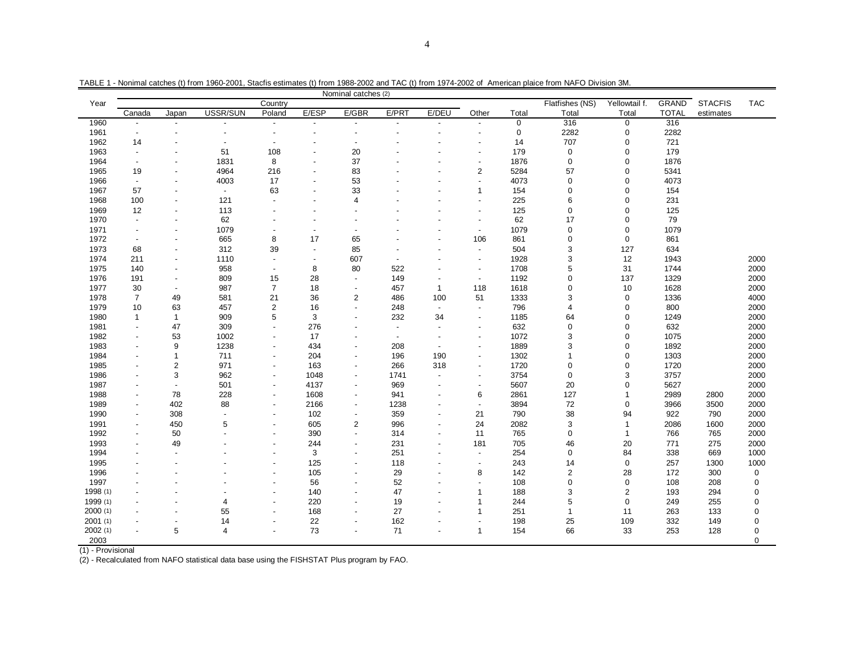| Flatfishes (NS)<br><b>GRAND</b><br><b>STACFIS</b><br>Country<br>Yellowtail f.<br>Year<br>USSR/SUN<br>E/ESP<br>E/GBR<br>E/PRT<br>E/DEU<br>Canada<br>Poland<br><b>TOTAL</b><br>Other<br>Total<br>Total<br>Total<br>Japan<br>estimates<br>1960<br>316<br>$\mathbf 0$<br>316<br>0<br>$\blacksquare$<br>$\overline{a}$<br>$\blacksquare$<br>$\overline{\phantom{a}}$<br>$\overline{\phantom{a}}$<br>$\overline{\phantom{a}}$<br>$\blacksquare$<br>$\overline{\phantom{a}}$<br>1961<br>$\mathbf 0$<br>2282<br>$\mathbf 0$<br>2282<br>$\blacksquare$<br>$\overline{\phantom{a}}$<br>$\overline{\phantom{a}}$<br>$\overline{a}$<br>$\overline{a}$<br>707<br>721<br>1962<br>14<br>14<br>$\mathbf 0$<br>$\blacksquare$<br>÷,<br>÷,<br>179<br>179<br>1963<br>51<br>108<br>20<br>0<br>$\mathbf 0$<br>$\blacksquare$<br>$\overline{\phantom{a}}$<br>$\overline{a}$<br>$\overline{\phantom{a}}$<br>8<br>37<br>1964<br>1831<br>1876<br>0<br>0<br>1876<br>$\blacksquare$<br>$\blacksquare$<br>$\overline{a}$<br>4964<br>$\overline{2}$<br>5284<br>57<br>$\mathbf 0$<br>5341<br>1965<br>216<br>83<br>19<br>$\overline{a}$<br>$\overline{a}$<br>1966<br>4003<br>17<br>53<br>4073<br>0<br>0<br>4073<br>$\overline{\phantom{a}}$<br>$\overline{\phantom{a}}$<br>$\overline{\phantom{a}}$<br>$\overline{a}$<br>1967<br>57<br>63<br>33<br>154<br>$\mathbf 0$<br>$\mathbf 0$<br>154<br>1<br>$\blacksquare$<br>$\overline{a}$<br>$\overline{a}$<br>225<br>231<br>1968<br>100<br>121<br>6<br>$\mathbf 0$<br>$\overline{4}$<br>$\blacksquare$<br>$\overline{a}$<br>$\overline{\phantom{a}}$<br>$\overline{\phantom{a}}$<br>125<br>0<br>$\mathbf 0$<br>125<br>1969<br>12<br>113<br>$\blacksquare$<br>$\overline{a}$<br>$\overline{\phantom{a}}$<br>62<br>1970<br>62<br>17<br>$\Omega$<br>79<br>$\overline{\phantom{a}}$<br>$\overline{\phantom{a}}$<br>$\sim$<br>$\blacksquare$<br>$\overline{\phantom{a}}$<br>1079<br>1079<br>0<br>$\mathbf 0$<br>1079<br>1971<br>$\sim$<br>$\overline{a}$<br>$\overline{\phantom{a}}$<br>1972<br>665<br>8<br>17<br>861<br>0<br>$\mathbf 0$<br>861<br>65<br>106<br>$\overline{\phantom{a}}$<br>$\overline{\phantom{a}}$<br>1973<br>39<br>504<br>3<br>127<br>68<br>312<br>85<br>634<br>$\blacksquare$<br>$\overline{\phantom{a}}$<br>$\overline{\phantom{a}}$<br>1928<br>3<br>12<br>1974<br>211<br>1110<br>607<br>1943<br>$\blacksquare$<br>$\blacksquare$<br>$\blacksquare$<br>$\blacksquare$<br>$\overline{\phantom{a}}$<br>8<br>80<br>522<br>1708<br>5<br>31<br>2000<br>1975<br>140<br>958<br>1744<br>$\blacksquare$<br>$\blacksquare$<br>$\blacksquare$<br>1976<br>809<br>28<br>149<br>1192<br>0<br>137<br>1329<br>191<br>15<br>$\overline{\phantom{a}}$<br>$\overline{a}$<br>$\overline{\phantom{a}}$<br>$\overline{\phantom{a}}$<br>1618<br>1977<br>30<br>987<br>$\overline{7}$<br>18<br>457<br>$\overline{1}$<br>118<br>0<br>10<br>1628<br>2000<br>$\overline{\phantom{a}}$<br>$\blacksquare$<br>1978<br>$\overline{7}$<br>49<br>581<br>21<br>36<br>$\overline{2}$<br>486<br>100<br>51<br>1333<br>3<br>$\mathbf 0$<br>1336<br>2<br>796<br>1979<br>10<br>63<br>457<br>16<br>248<br>0<br>800<br>2000<br>$\overline{4}$<br>$\blacksquare$<br>$\blacksquare$<br>909<br>5<br>3<br>232<br>1185<br>2000<br>1980<br>$\mathbf{1}$<br>34<br>64<br>$\mathbf 0$<br>1249<br>1<br>$\blacksquare$<br>47<br>632<br>$\mathbf 0$<br>$\mathbf 0$<br>632<br>1981<br>309<br>276<br>2000<br>$\overline{\phantom{a}}$<br>$\overline{\phantom{a}}$<br>$\overline{\phantom{a}}$<br>$\overline{\phantom{a}}$<br>1072<br>1982<br>53<br>1002<br>17<br>3<br>$\mathbf 0$<br>1075<br>2000<br>$\overline{\phantom{a}}$<br>$\overline{\phantom{a}}$<br>$\overline{\phantom{a}}$<br>$\overline{a}$<br>$\overline{\phantom{a}}$<br>$\blacksquare$<br>$\overline{\phantom{a}}$ |      | Nominal catches (2) |   |      |  |     |  |     |  |  |      |   |             |      |  |            |
|--------------------------------------------------------------------------------------------------------------------------------------------------------------------------------------------------------------------------------------------------------------------------------------------------------------------------------------------------------------------------------------------------------------------------------------------------------------------------------------------------------------------------------------------------------------------------------------------------------------------------------------------------------------------------------------------------------------------------------------------------------------------------------------------------------------------------------------------------------------------------------------------------------------------------------------------------------------------------------------------------------------------------------------------------------------------------------------------------------------------------------------------------------------------------------------------------------------------------------------------------------------------------------------------------------------------------------------------------------------------------------------------------------------------------------------------------------------------------------------------------------------------------------------------------------------------------------------------------------------------------------------------------------------------------------------------------------------------------------------------------------------------------------------------------------------------------------------------------------------------------------------------------------------------------------------------------------------------------------------------------------------------------------------------------------------------------------------------------------------------------------------------------------------------------------------------------------------------------------------------------------------------------------------------------------------------------------------------------------------------------------------------------------------------------------------------------------------------------------------------------------------------------------------------------------------------------------------------------------------------------------------------------------------------------------------------------------------------------------------------------------------------------------------------------------------------------------------------------------------------------------------------------------------------------------------------------------------------------------------------------------------------------------------------------------------------------------------------------------------------------------------------------------------------------------------------------------------------------------------------------------------------------------------------------------------------------------------------------------------------------------------------------------------------------------------------------------------------------------------------------------------------------------------------------------------------------------------------------------------------------------------------------------------------------------------------------------------------------------------------------------|------|---------------------|---|------|--|-----|--|-----|--|--|------|---|-------------|------|--|------------|
|                                                                                                                                                                                                                                                                                                                                                                                                                                                                                                                                                                                                                                                                                                                                                                                                                                                                                                                                                                                                                                                                                                                                                                                                                                                                                                                                                                                                                                                                                                                                                                                                                                                                                                                                                                                                                                                                                                                                                                                                                                                                                                                                                                                                                                                                                                                                                                                                                                                                                                                                                                                                                                                                                                                                                                                                                                                                                                                                                                                                                                                                                                                                                                                                                                                                                                                                                                                                                                                                                                                                                                                                                                                                                                                                                        |      |                     |   |      |  |     |  |     |  |  |      |   |             |      |  | <b>TAC</b> |
|                                                                                                                                                                                                                                                                                                                                                                                                                                                                                                                                                                                                                                                                                                                                                                                                                                                                                                                                                                                                                                                                                                                                                                                                                                                                                                                                                                                                                                                                                                                                                                                                                                                                                                                                                                                                                                                                                                                                                                                                                                                                                                                                                                                                                                                                                                                                                                                                                                                                                                                                                                                                                                                                                                                                                                                                                                                                                                                                                                                                                                                                                                                                                                                                                                                                                                                                                                                                                                                                                                                                                                                                                                                                                                                                                        |      |                     |   |      |  |     |  |     |  |  |      |   |             |      |  |            |
|                                                                                                                                                                                                                                                                                                                                                                                                                                                                                                                                                                                                                                                                                                                                                                                                                                                                                                                                                                                                                                                                                                                                                                                                                                                                                                                                                                                                                                                                                                                                                                                                                                                                                                                                                                                                                                                                                                                                                                                                                                                                                                                                                                                                                                                                                                                                                                                                                                                                                                                                                                                                                                                                                                                                                                                                                                                                                                                                                                                                                                                                                                                                                                                                                                                                                                                                                                                                                                                                                                                                                                                                                                                                                                                                                        |      |                     |   |      |  |     |  |     |  |  |      |   |             |      |  |            |
|                                                                                                                                                                                                                                                                                                                                                                                                                                                                                                                                                                                                                                                                                                                                                                                                                                                                                                                                                                                                                                                                                                                                                                                                                                                                                                                                                                                                                                                                                                                                                                                                                                                                                                                                                                                                                                                                                                                                                                                                                                                                                                                                                                                                                                                                                                                                                                                                                                                                                                                                                                                                                                                                                                                                                                                                                                                                                                                                                                                                                                                                                                                                                                                                                                                                                                                                                                                                                                                                                                                                                                                                                                                                                                                                                        |      |                     |   |      |  |     |  |     |  |  |      |   |             |      |  |            |
|                                                                                                                                                                                                                                                                                                                                                                                                                                                                                                                                                                                                                                                                                                                                                                                                                                                                                                                                                                                                                                                                                                                                                                                                                                                                                                                                                                                                                                                                                                                                                                                                                                                                                                                                                                                                                                                                                                                                                                                                                                                                                                                                                                                                                                                                                                                                                                                                                                                                                                                                                                                                                                                                                                                                                                                                                                                                                                                                                                                                                                                                                                                                                                                                                                                                                                                                                                                                                                                                                                                                                                                                                                                                                                                                                        |      |                     |   |      |  |     |  |     |  |  |      |   |             |      |  |            |
|                                                                                                                                                                                                                                                                                                                                                                                                                                                                                                                                                                                                                                                                                                                                                                                                                                                                                                                                                                                                                                                                                                                                                                                                                                                                                                                                                                                                                                                                                                                                                                                                                                                                                                                                                                                                                                                                                                                                                                                                                                                                                                                                                                                                                                                                                                                                                                                                                                                                                                                                                                                                                                                                                                                                                                                                                                                                                                                                                                                                                                                                                                                                                                                                                                                                                                                                                                                                                                                                                                                                                                                                                                                                                                                                                        |      |                     |   |      |  |     |  |     |  |  |      |   |             |      |  |            |
|                                                                                                                                                                                                                                                                                                                                                                                                                                                                                                                                                                                                                                                                                                                                                                                                                                                                                                                                                                                                                                                                                                                                                                                                                                                                                                                                                                                                                                                                                                                                                                                                                                                                                                                                                                                                                                                                                                                                                                                                                                                                                                                                                                                                                                                                                                                                                                                                                                                                                                                                                                                                                                                                                                                                                                                                                                                                                                                                                                                                                                                                                                                                                                                                                                                                                                                                                                                                                                                                                                                                                                                                                                                                                                                                                        |      |                     |   |      |  |     |  |     |  |  |      |   |             |      |  |            |
|                                                                                                                                                                                                                                                                                                                                                                                                                                                                                                                                                                                                                                                                                                                                                                                                                                                                                                                                                                                                                                                                                                                                                                                                                                                                                                                                                                                                                                                                                                                                                                                                                                                                                                                                                                                                                                                                                                                                                                                                                                                                                                                                                                                                                                                                                                                                                                                                                                                                                                                                                                                                                                                                                                                                                                                                                                                                                                                                                                                                                                                                                                                                                                                                                                                                                                                                                                                                                                                                                                                                                                                                                                                                                                                                                        |      |                     |   |      |  |     |  |     |  |  |      |   |             |      |  |            |
|                                                                                                                                                                                                                                                                                                                                                                                                                                                                                                                                                                                                                                                                                                                                                                                                                                                                                                                                                                                                                                                                                                                                                                                                                                                                                                                                                                                                                                                                                                                                                                                                                                                                                                                                                                                                                                                                                                                                                                                                                                                                                                                                                                                                                                                                                                                                                                                                                                                                                                                                                                                                                                                                                                                                                                                                                                                                                                                                                                                                                                                                                                                                                                                                                                                                                                                                                                                                                                                                                                                                                                                                                                                                                                                                                        |      |                     |   |      |  |     |  |     |  |  |      |   |             |      |  |            |
|                                                                                                                                                                                                                                                                                                                                                                                                                                                                                                                                                                                                                                                                                                                                                                                                                                                                                                                                                                                                                                                                                                                                                                                                                                                                                                                                                                                                                                                                                                                                                                                                                                                                                                                                                                                                                                                                                                                                                                                                                                                                                                                                                                                                                                                                                                                                                                                                                                                                                                                                                                                                                                                                                                                                                                                                                                                                                                                                                                                                                                                                                                                                                                                                                                                                                                                                                                                                                                                                                                                                                                                                                                                                                                                                                        |      |                     |   |      |  |     |  |     |  |  |      |   |             |      |  |            |
|                                                                                                                                                                                                                                                                                                                                                                                                                                                                                                                                                                                                                                                                                                                                                                                                                                                                                                                                                                                                                                                                                                                                                                                                                                                                                                                                                                                                                                                                                                                                                                                                                                                                                                                                                                                                                                                                                                                                                                                                                                                                                                                                                                                                                                                                                                                                                                                                                                                                                                                                                                                                                                                                                                                                                                                                                                                                                                                                                                                                                                                                                                                                                                                                                                                                                                                                                                                                                                                                                                                                                                                                                                                                                                                                                        |      |                     |   |      |  |     |  |     |  |  |      |   |             |      |  |            |
|                                                                                                                                                                                                                                                                                                                                                                                                                                                                                                                                                                                                                                                                                                                                                                                                                                                                                                                                                                                                                                                                                                                                                                                                                                                                                                                                                                                                                                                                                                                                                                                                                                                                                                                                                                                                                                                                                                                                                                                                                                                                                                                                                                                                                                                                                                                                                                                                                                                                                                                                                                                                                                                                                                                                                                                                                                                                                                                                                                                                                                                                                                                                                                                                                                                                                                                                                                                                                                                                                                                                                                                                                                                                                                                                                        |      |                     |   |      |  |     |  |     |  |  |      |   |             |      |  |            |
|                                                                                                                                                                                                                                                                                                                                                                                                                                                                                                                                                                                                                                                                                                                                                                                                                                                                                                                                                                                                                                                                                                                                                                                                                                                                                                                                                                                                                                                                                                                                                                                                                                                                                                                                                                                                                                                                                                                                                                                                                                                                                                                                                                                                                                                                                                                                                                                                                                                                                                                                                                                                                                                                                                                                                                                                                                                                                                                                                                                                                                                                                                                                                                                                                                                                                                                                                                                                                                                                                                                                                                                                                                                                                                                                                        |      |                     |   |      |  |     |  |     |  |  |      |   |             |      |  |            |
|                                                                                                                                                                                                                                                                                                                                                                                                                                                                                                                                                                                                                                                                                                                                                                                                                                                                                                                                                                                                                                                                                                                                                                                                                                                                                                                                                                                                                                                                                                                                                                                                                                                                                                                                                                                                                                                                                                                                                                                                                                                                                                                                                                                                                                                                                                                                                                                                                                                                                                                                                                                                                                                                                                                                                                                                                                                                                                                                                                                                                                                                                                                                                                                                                                                                                                                                                                                                                                                                                                                                                                                                                                                                                                                                                        |      |                     |   |      |  |     |  |     |  |  |      |   |             |      |  |            |
|                                                                                                                                                                                                                                                                                                                                                                                                                                                                                                                                                                                                                                                                                                                                                                                                                                                                                                                                                                                                                                                                                                                                                                                                                                                                                                                                                                                                                                                                                                                                                                                                                                                                                                                                                                                                                                                                                                                                                                                                                                                                                                                                                                                                                                                                                                                                                                                                                                                                                                                                                                                                                                                                                                                                                                                                                                                                                                                                                                                                                                                                                                                                                                                                                                                                                                                                                                                                                                                                                                                                                                                                                                                                                                                                                        |      |                     |   |      |  |     |  |     |  |  |      |   |             |      |  |            |
|                                                                                                                                                                                                                                                                                                                                                                                                                                                                                                                                                                                                                                                                                                                                                                                                                                                                                                                                                                                                                                                                                                                                                                                                                                                                                                                                                                                                                                                                                                                                                                                                                                                                                                                                                                                                                                                                                                                                                                                                                                                                                                                                                                                                                                                                                                                                                                                                                                                                                                                                                                                                                                                                                                                                                                                                                                                                                                                                                                                                                                                                                                                                                                                                                                                                                                                                                                                                                                                                                                                                                                                                                                                                                                                                                        |      |                     |   |      |  |     |  |     |  |  |      |   |             |      |  |            |
|                                                                                                                                                                                                                                                                                                                                                                                                                                                                                                                                                                                                                                                                                                                                                                                                                                                                                                                                                                                                                                                                                                                                                                                                                                                                                                                                                                                                                                                                                                                                                                                                                                                                                                                                                                                                                                                                                                                                                                                                                                                                                                                                                                                                                                                                                                                                                                                                                                                                                                                                                                                                                                                                                                                                                                                                                                                                                                                                                                                                                                                                                                                                                                                                                                                                                                                                                                                                                                                                                                                                                                                                                                                                                                                                                        |      |                     |   |      |  |     |  |     |  |  |      |   |             |      |  | 2000       |
|                                                                                                                                                                                                                                                                                                                                                                                                                                                                                                                                                                                                                                                                                                                                                                                                                                                                                                                                                                                                                                                                                                                                                                                                                                                                                                                                                                                                                                                                                                                                                                                                                                                                                                                                                                                                                                                                                                                                                                                                                                                                                                                                                                                                                                                                                                                                                                                                                                                                                                                                                                                                                                                                                                                                                                                                                                                                                                                                                                                                                                                                                                                                                                                                                                                                                                                                                                                                                                                                                                                                                                                                                                                                                                                                                        |      |                     |   |      |  |     |  |     |  |  |      |   |             |      |  |            |
|                                                                                                                                                                                                                                                                                                                                                                                                                                                                                                                                                                                                                                                                                                                                                                                                                                                                                                                                                                                                                                                                                                                                                                                                                                                                                                                                                                                                                                                                                                                                                                                                                                                                                                                                                                                                                                                                                                                                                                                                                                                                                                                                                                                                                                                                                                                                                                                                                                                                                                                                                                                                                                                                                                                                                                                                                                                                                                                                                                                                                                                                                                                                                                                                                                                                                                                                                                                                                                                                                                                                                                                                                                                                                                                                                        |      |                     |   |      |  |     |  |     |  |  |      |   |             |      |  | 2000       |
|                                                                                                                                                                                                                                                                                                                                                                                                                                                                                                                                                                                                                                                                                                                                                                                                                                                                                                                                                                                                                                                                                                                                                                                                                                                                                                                                                                                                                                                                                                                                                                                                                                                                                                                                                                                                                                                                                                                                                                                                                                                                                                                                                                                                                                                                                                                                                                                                                                                                                                                                                                                                                                                                                                                                                                                                                                                                                                                                                                                                                                                                                                                                                                                                                                                                                                                                                                                                                                                                                                                                                                                                                                                                                                                                                        |      |                     |   |      |  |     |  |     |  |  |      |   |             |      |  |            |
|                                                                                                                                                                                                                                                                                                                                                                                                                                                                                                                                                                                                                                                                                                                                                                                                                                                                                                                                                                                                                                                                                                                                                                                                                                                                                                                                                                                                                                                                                                                                                                                                                                                                                                                                                                                                                                                                                                                                                                                                                                                                                                                                                                                                                                                                                                                                                                                                                                                                                                                                                                                                                                                                                                                                                                                                                                                                                                                                                                                                                                                                                                                                                                                                                                                                                                                                                                                                                                                                                                                                                                                                                                                                                                                                                        |      |                     |   |      |  |     |  |     |  |  |      |   |             |      |  | 4000       |
|                                                                                                                                                                                                                                                                                                                                                                                                                                                                                                                                                                                                                                                                                                                                                                                                                                                                                                                                                                                                                                                                                                                                                                                                                                                                                                                                                                                                                                                                                                                                                                                                                                                                                                                                                                                                                                                                                                                                                                                                                                                                                                                                                                                                                                                                                                                                                                                                                                                                                                                                                                                                                                                                                                                                                                                                                                                                                                                                                                                                                                                                                                                                                                                                                                                                                                                                                                                                                                                                                                                                                                                                                                                                                                                                                        |      |                     |   |      |  |     |  |     |  |  |      |   |             |      |  |            |
|                                                                                                                                                                                                                                                                                                                                                                                                                                                                                                                                                                                                                                                                                                                                                                                                                                                                                                                                                                                                                                                                                                                                                                                                                                                                                                                                                                                                                                                                                                                                                                                                                                                                                                                                                                                                                                                                                                                                                                                                                                                                                                                                                                                                                                                                                                                                                                                                                                                                                                                                                                                                                                                                                                                                                                                                                                                                                                                                                                                                                                                                                                                                                                                                                                                                                                                                                                                                                                                                                                                                                                                                                                                                                                                                                        |      |                     |   |      |  |     |  |     |  |  |      |   |             |      |  |            |
|                                                                                                                                                                                                                                                                                                                                                                                                                                                                                                                                                                                                                                                                                                                                                                                                                                                                                                                                                                                                                                                                                                                                                                                                                                                                                                                                                                                                                                                                                                                                                                                                                                                                                                                                                                                                                                                                                                                                                                                                                                                                                                                                                                                                                                                                                                                                                                                                                                                                                                                                                                                                                                                                                                                                                                                                                                                                                                                                                                                                                                                                                                                                                                                                                                                                                                                                                                                                                                                                                                                                                                                                                                                                                                                                                        |      |                     |   |      |  |     |  |     |  |  |      |   |             |      |  |            |
|                                                                                                                                                                                                                                                                                                                                                                                                                                                                                                                                                                                                                                                                                                                                                                                                                                                                                                                                                                                                                                                                                                                                                                                                                                                                                                                                                                                                                                                                                                                                                                                                                                                                                                                                                                                                                                                                                                                                                                                                                                                                                                                                                                                                                                                                                                                                                                                                                                                                                                                                                                                                                                                                                                                                                                                                                                                                                                                                                                                                                                                                                                                                                                                                                                                                                                                                                                                                                                                                                                                                                                                                                                                                                                                                                        |      |                     |   |      |  |     |  |     |  |  |      |   |             |      |  |            |
|                                                                                                                                                                                                                                                                                                                                                                                                                                                                                                                                                                                                                                                                                                                                                                                                                                                                                                                                                                                                                                                                                                                                                                                                                                                                                                                                                                                                                                                                                                                                                                                                                                                                                                                                                                                                                                                                                                                                                                                                                                                                                                                                                                                                                                                                                                                                                                                                                                                                                                                                                                                                                                                                                                                                                                                                                                                                                                                                                                                                                                                                                                                                                                                                                                                                                                                                                                                                                                                                                                                                                                                                                                                                                                                                                        | 1983 |                     | 9 | 1238 |  | 434 |  | 208 |  |  | 1889 | 3 | $\mathbf 0$ | 1892 |  | 2000       |
| 711<br>204<br>$\mathbf 0$<br>1984<br>$\mathbf{1}$<br>196<br>190<br>1302<br>1303<br>1<br>$\overline{\phantom{a}}$<br>$\overline{\phantom{a}}$                                                                                                                                                                                                                                                                                                                                                                                                                                                                                                                                                                                                                                                                                                                                                                                                                                                                                                                                                                                                                                                                                                                                                                                                                                                                                                                                                                                                                                                                                                                                                                                                                                                                                                                                                                                                                                                                                                                                                                                                                                                                                                                                                                                                                                                                                                                                                                                                                                                                                                                                                                                                                                                                                                                                                                                                                                                                                                                                                                                                                                                                                                                                                                                                                                                                                                                                                                                                                                                                                                                                                                                                           |      |                     |   |      |  |     |  |     |  |  |      |   |             |      |  | 2000       |
| 971<br>1985<br>$\overline{\mathbf{c}}$<br>163<br>266<br>318<br>1720<br>$\mathbf 0$<br>$\Omega$<br>1720<br>$\overline{\phantom{a}}$<br>$\overline{\phantom{a}}$<br>$\overline{\phantom{a}}$<br>$\overline{\phantom{a}}$                                                                                                                                                                                                                                                                                                                                                                                                                                                                                                                                                                                                                                                                                                                                                                                                                                                                                                                                                                                                                                                                                                                                                                                                                                                                                                                                                                                                                                                                                                                                                                                                                                                                                                                                                                                                                                                                                                                                                                                                                                                                                                                                                                                                                                                                                                                                                                                                                                                                                                                                                                                                                                                                                                                                                                                                                                                                                                                                                                                                                                                                                                                                                                                                                                                                                                                                                                                                                                                                                                                                 |      |                     |   |      |  |     |  |     |  |  |      |   |             |      |  | 2000       |
| 1986<br>3<br>962<br>3754<br>0<br>3<br>3757<br>1048<br>1741<br>$\overline{\phantom{a}}$<br>$\overline{\phantom{a}}$<br>$\overline{\phantom{a}}$                                                                                                                                                                                                                                                                                                                                                                                                                                                                                                                                                                                                                                                                                                                                                                                                                                                                                                                                                                                                                                                                                                                                                                                                                                                                                                                                                                                                                                                                                                                                                                                                                                                                                                                                                                                                                                                                                                                                                                                                                                                                                                                                                                                                                                                                                                                                                                                                                                                                                                                                                                                                                                                                                                                                                                                                                                                                                                                                                                                                                                                                                                                                                                                                                                                                                                                                                                                                                                                                                                                                                                                                         |      |                     |   |      |  |     |  |     |  |  |      |   |             |      |  | 2000       |
| 1987<br>501<br>4137<br>969<br>5607<br>20<br>$\Omega$<br>5627<br>$\blacksquare$<br>$\blacksquare$<br>$\blacksquare$<br>$\overline{\phantom{a}}$<br>$\overline{a}$<br>$\overline{\phantom{a}}$                                                                                                                                                                                                                                                                                                                                                                                                                                                                                                                                                                                                                                                                                                                                                                                                                                                                                                                                                                                                                                                                                                                                                                                                                                                                                                                                                                                                                                                                                                                                                                                                                                                                                                                                                                                                                                                                                                                                                                                                                                                                                                                                                                                                                                                                                                                                                                                                                                                                                                                                                                                                                                                                                                                                                                                                                                                                                                                                                                                                                                                                                                                                                                                                                                                                                                                                                                                                                                                                                                                                                           |      |                     |   |      |  |     |  |     |  |  |      |   |             |      |  | 2000       |
| 78<br>228<br>1608<br>2861<br>127<br>2989<br>1988<br>941<br>6<br>$\mathbf{1}$<br>2800<br>$\overline{\phantom{a}}$<br>$\blacksquare$                                                                                                                                                                                                                                                                                                                                                                                                                                                                                                                                                                                                                                                                                                                                                                                                                                                                                                                                                                                                                                                                                                                                                                                                                                                                                                                                                                                                                                                                                                                                                                                                                                                                                                                                                                                                                                                                                                                                                                                                                                                                                                                                                                                                                                                                                                                                                                                                                                                                                                                                                                                                                                                                                                                                                                                                                                                                                                                                                                                                                                                                                                                                                                                                                                                                                                                                                                                                                                                                                                                                                                                                                     |      |                     |   |      |  |     |  |     |  |  |      |   |             |      |  | 2000       |
| 402<br>88<br>3894<br>72<br>$\mathbf 0$<br>1989<br>2166<br>1238<br>3966<br>3500<br>$\blacksquare$<br>$\overline{\phantom{a}}$<br>$\overline{\phantom{a}}$<br>$\overline{\phantom{a}}$<br>$\overline{a}$                                                                                                                                                                                                                                                                                                                                                                                                                                                                                                                                                                                                                                                                                                                                                                                                                                                                                                                                                                                                                                                                                                                                                                                                                                                                                                                                                                                                                                                                                                                                                                                                                                                                                                                                                                                                                                                                                                                                                                                                                                                                                                                                                                                                                                                                                                                                                                                                                                                                                                                                                                                                                                                                                                                                                                                                                                                                                                                                                                                                                                                                                                                                                                                                                                                                                                                                                                                                                                                                                                                                                 |      |                     |   |      |  |     |  |     |  |  |      |   |             |      |  | 2000       |
| 38<br>1990<br>308<br>102<br>359<br>21<br>790<br>94<br>922<br>790<br>$\overline{a}$<br>$\overline{\phantom{a}}$<br>$\overline{\phantom{a}}$<br>$\blacksquare$<br>$\overline{\phantom{a}}$                                                                                                                                                                                                                                                                                                                                                                                                                                                                                                                                                                                                                                                                                                                                                                                                                                                                                                                                                                                                                                                                                                                                                                                                                                                                                                                                                                                                                                                                                                                                                                                                                                                                                                                                                                                                                                                                                                                                                                                                                                                                                                                                                                                                                                                                                                                                                                                                                                                                                                                                                                                                                                                                                                                                                                                                                                                                                                                                                                                                                                                                                                                                                                                                                                                                                                                                                                                                                                                                                                                                                               |      |                     |   |      |  |     |  |     |  |  |      |   |             |      |  | 2000       |
| 3<br>450<br>5<br>605<br>$\overline{c}$<br>24<br>2082<br>$\mathbf{1}$<br>2086<br>1991<br>996<br>1600<br>$\overline{\phantom{a}}$<br>$\overline{a}$                                                                                                                                                                                                                                                                                                                                                                                                                                                                                                                                                                                                                                                                                                                                                                                                                                                                                                                                                                                                                                                                                                                                                                                                                                                                                                                                                                                                                                                                                                                                                                                                                                                                                                                                                                                                                                                                                                                                                                                                                                                                                                                                                                                                                                                                                                                                                                                                                                                                                                                                                                                                                                                                                                                                                                                                                                                                                                                                                                                                                                                                                                                                                                                                                                                                                                                                                                                                                                                                                                                                                                                                      |      |                     |   |      |  |     |  |     |  |  |      |   |             |      |  | 2000       |
| 50<br>390<br>765<br>0<br>766<br>1992<br>314<br>11<br>$\mathbf{1}$<br>765<br>$\blacksquare$<br>$\overline{\phantom{a}}$<br>$\blacksquare$                                                                                                                                                                                                                                                                                                                                                                                                                                                                                                                                                                                                                                                                                                                                                                                                                                                                                                                                                                                                                                                                                                                                                                                                                                                                                                                                                                                                                                                                                                                                                                                                                                                                                                                                                                                                                                                                                                                                                                                                                                                                                                                                                                                                                                                                                                                                                                                                                                                                                                                                                                                                                                                                                                                                                                                                                                                                                                                                                                                                                                                                                                                                                                                                                                                                                                                                                                                                                                                                                                                                                                                                               |      |                     |   |      |  |     |  |     |  |  |      |   |             |      |  | 2000       |
| 1993<br>49<br>244<br>231<br>181<br>705<br>46<br>20<br>771<br>275<br>$\overline{\phantom{a}}$                                                                                                                                                                                                                                                                                                                                                                                                                                                                                                                                                                                                                                                                                                                                                                                                                                                                                                                                                                                                                                                                                                                                                                                                                                                                                                                                                                                                                                                                                                                                                                                                                                                                                                                                                                                                                                                                                                                                                                                                                                                                                                                                                                                                                                                                                                                                                                                                                                                                                                                                                                                                                                                                                                                                                                                                                                                                                                                                                                                                                                                                                                                                                                                                                                                                                                                                                                                                                                                                                                                                                                                                                                                           |      |                     |   |      |  |     |  |     |  |  |      |   |             |      |  | 2000       |
| 3<br>254<br>0<br>338<br>669<br>1994<br>251<br>84<br>$\overline{a}$<br>$\blacksquare$<br>$\overline{a}$                                                                                                                                                                                                                                                                                                                                                                                                                                                                                                                                                                                                                                                                                                                                                                                                                                                                                                                                                                                                                                                                                                                                                                                                                                                                                                                                                                                                                                                                                                                                                                                                                                                                                                                                                                                                                                                                                                                                                                                                                                                                                                                                                                                                                                                                                                                                                                                                                                                                                                                                                                                                                                                                                                                                                                                                                                                                                                                                                                                                                                                                                                                                                                                                                                                                                                                                                                                                                                                                                                                                                                                                                                                 |      |                     |   |      |  |     |  |     |  |  |      |   |             |      |  | 1000       |
| 243<br>$\mathbf 0$<br>257<br>1995<br>125<br>118<br>14<br>1300<br>$\blacksquare$<br>$\blacksquare$                                                                                                                                                                                                                                                                                                                                                                                                                                                                                                                                                                                                                                                                                                                                                                                                                                                                                                                                                                                                                                                                                                                                                                                                                                                                                                                                                                                                                                                                                                                                                                                                                                                                                                                                                                                                                                                                                                                                                                                                                                                                                                                                                                                                                                                                                                                                                                                                                                                                                                                                                                                                                                                                                                                                                                                                                                                                                                                                                                                                                                                                                                                                                                                                                                                                                                                                                                                                                                                                                                                                                                                                                                                      |      |                     |   |      |  |     |  |     |  |  |      |   |             |      |  | 1000       |
| 8<br>$\overline{2}$<br>1996<br>105<br>29<br>142<br>28<br>172<br>300<br>0                                                                                                                                                                                                                                                                                                                                                                                                                                                                                                                                                                                                                                                                                                                                                                                                                                                                                                                                                                                                                                                                                                                                                                                                                                                                                                                                                                                                                                                                                                                                                                                                                                                                                                                                                                                                                                                                                                                                                                                                                                                                                                                                                                                                                                                                                                                                                                                                                                                                                                                                                                                                                                                                                                                                                                                                                                                                                                                                                                                                                                                                                                                                                                                                                                                                                                                                                                                                                                                                                                                                                                                                                                                                               |      |                     |   |      |  |     |  |     |  |  |      |   |             |      |  |            |
| 56<br>52<br>108<br>0<br>$\mathbf 0$<br>1997<br>108<br>208<br>0<br>$\overline{\phantom{a}}$<br>$\overline{\phantom{a}}$                                                                                                                                                                                                                                                                                                                                                                                                                                                                                                                                                                                                                                                                                                                                                                                                                                                                                                                                                                                                                                                                                                                                                                                                                                                                                                                                                                                                                                                                                                                                                                                                                                                                                                                                                                                                                                                                                                                                                                                                                                                                                                                                                                                                                                                                                                                                                                                                                                                                                                                                                                                                                                                                                                                                                                                                                                                                                                                                                                                                                                                                                                                                                                                                                                                                                                                                                                                                                                                                                                                                                                                                                                 |      |                     |   |      |  |     |  |     |  |  |      |   |             |      |  |            |
| 1998 (1)<br>140<br>47<br>188<br>3<br>$\overline{2}$<br>193<br>294<br>$\mathbf 0$<br>$\mathbf{1}$                                                                                                                                                                                                                                                                                                                                                                                                                                                                                                                                                                                                                                                                                                                                                                                                                                                                                                                                                                                                                                                                                                                                                                                                                                                                                                                                                                                                                                                                                                                                                                                                                                                                                                                                                                                                                                                                                                                                                                                                                                                                                                                                                                                                                                                                                                                                                                                                                                                                                                                                                                                                                                                                                                                                                                                                                                                                                                                                                                                                                                                                                                                                                                                                                                                                                                                                                                                                                                                                                                                                                                                                                                                       |      |                     |   |      |  |     |  |     |  |  |      |   |             |      |  |            |
| 1999 (1)<br>5<br>220<br>19<br>244<br>$\mathbf 0$<br>0<br>$\mathbf{1}$<br>249<br>255<br>4<br>$\overline{a}$<br>$\overline{\phantom{a}}$                                                                                                                                                                                                                                                                                                                                                                                                                                                                                                                                                                                                                                                                                                                                                                                                                                                                                                                                                                                                                                                                                                                                                                                                                                                                                                                                                                                                                                                                                                                                                                                                                                                                                                                                                                                                                                                                                                                                                                                                                                                                                                                                                                                                                                                                                                                                                                                                                                                                                                                                                                                                                                                                                                                                                                                                                                                                                                                                                                                                                                                                                                                                                                                                                                                                                                                                                                                                                                                                                                                                                                                                                 |      |                     |   |      |  |     |  |     |  |  |      |   |             |      |  |            |
| 55<br>168<br>27<br>251<br>263<br>2000(1)<br>$\mathbf{1}$<br>11<br>133<br>$\mathbf 0$<br>1<br>$\blacksquare$<br>$\overline{\phantom{a}}$<br>$\overline{\phantom{a}}$<br>$\overline{a}$                                                                                                                                                                                                                                                                                                                                                                                                                                                                                                                                                                                                                                                                                                                                                                                                                                                                                                                                                                                                                                                                                                                                                                                                                                                                                                                                                                                                                                                                                                                                                                                                                                                                                                                                                                                                                                                                                                                                                                                                                                                                                                                                                                                                                                                                                                                                                                                                                                                                                                                                                                                                                                                                                                                                                                                                                                                                                                                                                                                                                                                                                                                                                                                                                                                                                                                                                                                                                                                                                                                                                                  |      |                     |   |      |  |     |  |     |  |  |      |   |             |      |  |            |
| 2001(1)<br>22<br>162<br>25<br>109<br>332<br>0<br>14<br>198<br>149<br>$\overline{\phantom{a}}$                                                                                                                                                                                                                                                                                                                                                                                                                                                                                                                                                                                                                                                                                                                                                                                                                                                                                                                                                                                                                                                                                                                                                                                                                                                                                                                                                                                                                                                                                                                                                                                                                                                                                                                                                                                                                                                                                                                                                                                                                                                                                                                                                                                                                                                                                                                                                                                                                                                                                                                                                                                                                                                                                                                                                                                                                                                                                                                                                                                                                                                                                                                                                                                                                                                                                                                                                                                                                                                                                                                                                                                                                                                          |      |                     |   |      |  |     |  |     |  |  |      |   |             |      |  |            |
| 5<br>73<br>71<br>66<br>2002(1)<br>154<br>33<br>253<br>128<br>$\mathbf 0$<br>4<br>$\mathbf{1}$<br>$\blacksquare$<br>$\sim$<br>$\blacksquare$                                                                                                                                                                                                                                                                                                                                                                                                                                                                                                                                                                                                                                                                                                                                                                                                                                                                                                                                                                                                                                                                                                                                                                                                                                                                                                                                                                                                                                                                                                                                                                                                                                                                                                                                                                                                                                                                                                                                                                                                                                                                                                                                                                                                                                                                                                                                                                                                                                                                                                                                                                                                                                                                                                                                                                                                                                                                                                                                                                                                                                                                                                                                                                                                                                                                                                                                                                                                                                                                                                                                                                                                            |      |                     |   |      |  |     |  |     |  |  |      |   |             |      |  |            |
| 2003<br>$\Omega$                                                                                                                                                                                                                                                                                                                                                                                                                                                                                                                                                                                                                                                                                                                                                                                                                                                                                                                                                                                                                                                                                                                                                                                                                                                                                                                                                                                                                                                                                                                                                                                                                                                                                                                                                                                                                                                                                                                                                                                                                                                                                                                                                                                                                                                                                                                                                                                                                                                                                                                                                                                                                                                                                                                                                                                                                                                                                                                                                                                                                                                                                                                                                                                                                                                                                                                                                                                                                                                                                                                                                                                                                                                                                                                                       |      |                     |   |      |  |     |  |     |  |  |      |   |             |      |  |            |

TABLE 1 - Nonimal catches (t) from 1960-2001, Stacfis estimates (t) from 1988-2002 and TAC (t) from 1974-2002 of American plaice from NAFO Division 3M.

(1) - Provisional

(2) - Recalculated from NAFO statistical data base using the FISHSTAT Plus program by FAO.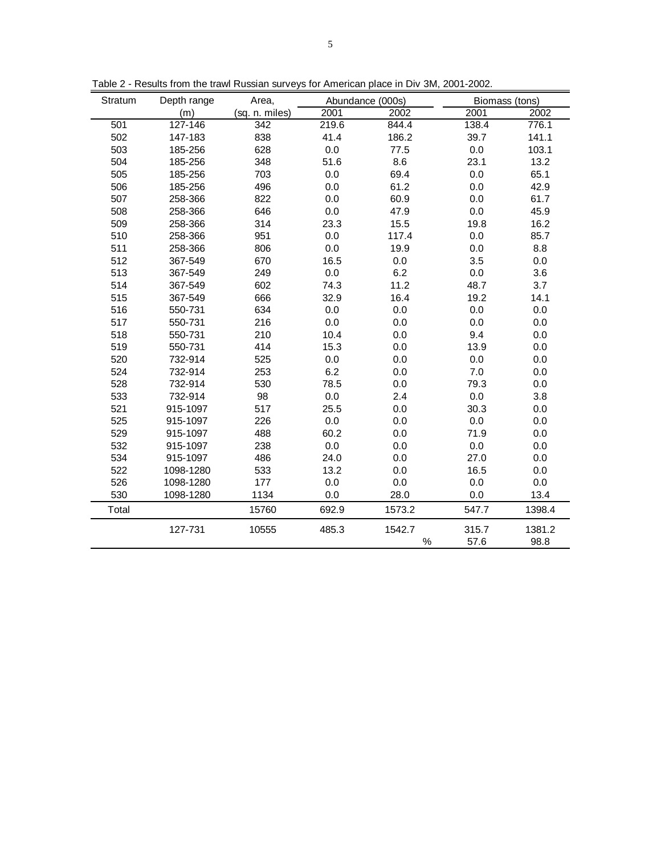| Stratum | Depth range | Area,          |       | Abundance (000s) | Biomass (tons) |        |
|---------|-------------|----------------|-------|------------------|----------------|--------|
|         | (m)         | (sq. n. miles) | 2001  | 2002             | 2001           | 2002   |
| 501     | 127-146     | 342            | 219.6 | 844.4            | 138.4          | 776.1  |
| 502     | 147-183     | 838            | 41.4  | 186.2            | 39.7           | 141.1  |
| 503     | 185-256     | 628            | 0.0   | 77.5             | 0.0            | 103.1  |
| 504     | 185-256     | 348            | 51.6  | 8.6              | 23.1           | 13.2   |
| 505     | 185-256     | 703            | 0.0   | 69.4             | 0.0            | 65.1   |
| 506     | 185-256     | 496            | 0.0   | 61.2             | 0.0            | 42.9   |
| 507     | 258-366     | 822            | 0.0   | 60.9             | 0.0            | 61.7   |
| 508     | 258-366     | 646            | 0.0   | 47.9             | 0.0            | 45.9   |
| 509     | 258-366     | 314            | 23.3  | 15.5             | 19.8           | 16.2   |
| 510     | 258-366     | 951            | 0.0   | 117.4            | 0.0            | 85.7   |
| 511     | 258-366     | 806            | 0.0   | 19.9             | 0.0            | 8.8    |
| 512     | 367-549     | 670            | 16.5  | 0.0              | 3.5            | 0.0    |
| 513     | 367-549     | 249            | 0.0   | 6.2              | 0.0            | 3.6    |
| 514     | 367-549     | 602            | 74.3  | 11.2             | 48.7           | 3.7    |
| 515     | 367-549     | 666            | 32.9  | 16.4             | 19.2           | 14.1   |
| 516     | 550-731     | 634            | 0.0   | 0.0              | 0.0            | 0.0    |
| 517     | 550-731     | 216            | 0.0   | 0.0              | 0.0            | 0.0    |
| 518     | 550-731     | 210            | 10.4  | 0.0              | 9.4            | 0.0    |
| 519     | 550-731     | 414            | 15.3  | 0.0              | 13.9           | 0.0    |
| 520     | 732-914     | 525            | 0.0   | 0.0              | 0.0            | 0.0    |
| 524     | 732-914     | 253            | 6.2   | 0.0              | 7.0            | 0.0    |
| 528     | 732-914     | 530            | 78.5  | 0.0              | 79.3           | 0.0    |
| 533     | 732-914     | 98             | 0.0   | 2.4              | 0.0            | 3.8    |
| 521     | 915-1097    | 517            | 25.5  | 0.0              | 30.3           | 0.0    |
| 525     | 915-1097    | 226            | 0.0   | 0.0              | 0.0            | 0.0    |
| 529     | 915-1097    | 488            | 60.2  | 0.0              | 71.9           | 0.0    |
| 532     | 915-1097    | 238            | 0.0   | 0.0              | 0.0            | 0.0    |
| 534     | 915-1097    | 486            | 24.0  | 0.0              | 27.0           | 0.0    |
| 522     | 1098-1280   | 533            | 13.2  | 0.0              | 16.5           | 0.0    |
| 526     | 1098-1280   | 177            | 0.0   | 0.0              | 0.0            | 0.0    |
| 530     | 1098-1280   | 1134           | 0.0   | 28.0             | 0.0            | 13.4   |
| Total   |             | 15760          | 692.9 | 1573.2           | 547.7          | 1398.4 |
|         | 127-731     | 10555          | 485.3 | 1542.7           | 315.7          | 1381.2 |
|         |             |                |       | $\%$             | 57.6           | 98.8   |

Table 2 - Results from the trawl Russian surveys for American place in Div 3M, 2001-2002.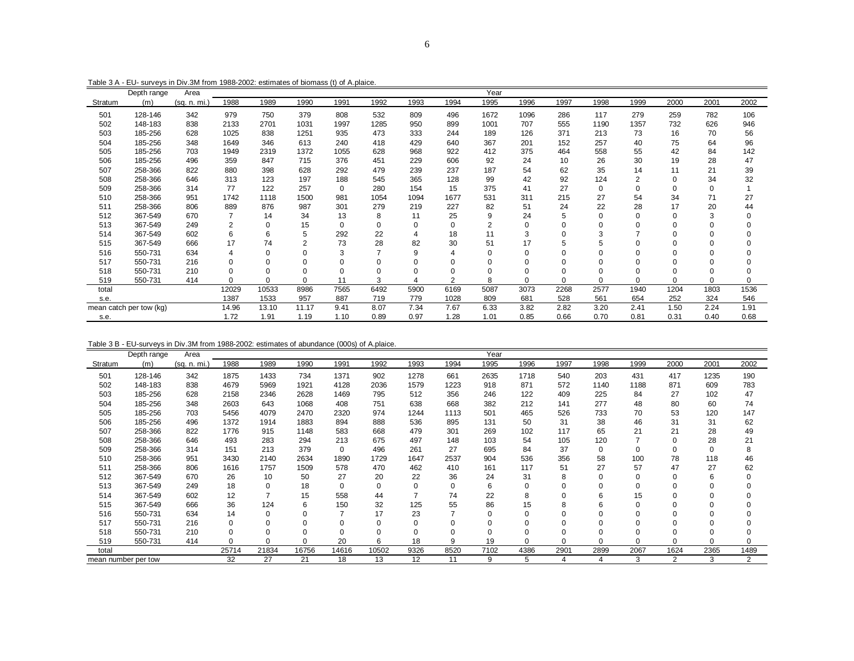185-256 703 1949 2319 1372 1055 628 968 922 412 375 464 558 55 42 84 142185-256 496 359 847 715 376 451 229 606 92 24 10 26 30 19 28 47

 258-366 822 880 398 628 292 479 239 237 187 54 62 35 14 11 21 39 258-366 646 313 123 197 188 545 365 128 99 42 92 124 2 0 34 32258-366 314 77 122 257 0 280 154 15 375 41 27 0 0 0 0 1

 258-366 951 1742 1118 1500 981 1054 1094 1677 531 311 215 27 54 34 71 27 258-366 806 889 876 987 301 279 219 227 82 51 24 22 28 17 20 44367-549 670 7 14 34 13 8 11 25 9 24 5 0 0 0 3 0

367-549 249 2 0 15 0 0 0 0 2 0 0 0 0 0 0 0

 367-549 602 6 6 5 292 22 4 18 11 3 0 3 7 0 0 367-549 666 17 74 2 73 28 82 30 51 17 5 5 0 0 0 550-731 634 4 0 0 3 7 9 4 0 0 0 0 0 0 0 550-731 216 0 0 0 0 0 0 0 0 0 0 0 0 0 0 550-731 210 0 0 0 0 0 0 0 0 0 0 0 0 0 0 550-731 414 0 0 0 11 3 4 2 8 0 0 0 0 0 0

total 12029 10533 8986 7565 6492 5900 6169 5087 3073 2268 2577 1940 1204 1803 1536

s.e. 1387 1533 957 887 719 779 1028 809 681 528 561 654 252 324 546

s.e. 1.72 1.91 1.19 1.10 0.89 0.97 1.28 1.01 0.85 0.66 0.70 0.81 0.31 0.40 0.68

mean catch per tow (kg) 14.96 13.10 11.17 9.41 8.07 7.34 7.67 6.33 3.82 2.82 3.20 2.41 1.50 2.24

 $\Omega$ 

 $\mathbf 0$ 

 $1.91$ 

0.68

|         | Depth range | Area       |      |      |      |                  |      |      |      | Yea  |      |      |      |      |      |      |      |
|---------|-------------|------------|------|------|------|------------------|------|------|------|------|------|------|------|------|------|------|------|
| Stratum | 'mì         | (sa<br>mi. | 1988 | 1989 | 1990 | 199 <sup>°</sup> | 1992 | 1993 | 1994 | 1995 | 1996 | 1997 | 1998 | 1999 | 2000 | 2001 | 2002 |
| 501     | 128-146     | 342        | 979  | 750  | 379  | 808              | 532  | 809  | 496  | 1672 | 1096 | 286  | 117  | 279  | 259  | 782  | 106  |
| 502     | 148-183     | 838        | 2133 | 2701 | 1031 | 1997             | 1285 | 950  | 899  | 1001 | 707  | 555  | 1190 | 1357 | 732  | 626  | 946  |
| 503     | 185-256     | 628        | 1025 | 838  | 1251 | 935              | 473  | 333  | 244  | 189  | 126  | 371  | 213  | 73   | 16   | 70   | 56   |
| 504     | 185-256     | 348        | 1649 | 346  | 613  | 240              | 418  | 429  | 640  | 367  | 201  | 152  | 257  | 40   | 75   | 64   | 96   |

Table 3 A - EU- surveys in Div.3M from 1988-2002: estimates of biomass (t) of A.plaice.

Table 3 B - EU-surveys in Div.3M from 1988-2002: estimates of abundance (000s) of A.plaice.

|         | Depth range         | Area         |          |                |       |          |             |                |                | Year     |          |          |      |                |          |          |          |
|---------|---------------------|--------------|----------|----------------|-------|----------|-------------|----------------|----------------|----------|----------|----------|------|----------------|----------|----------|----------|
| Stratum | (m)                 | (sq. n. mi.) | 1988     | 1989           | 1990  | 1991     | 1992        | 1993           | 1994           | 1995     | 1996     | 1997     | 1998 | 1999           | 2000     | 2001     | 2002     |
| 501     | 128-146             | 342          | 1875     | 1433           | 734   | 1371     | 902         | 1278           | 661            | 2635     | 1718     | 540      | 203  | 431            | 417      | 1235     | 190      |
| 502     | 148-183             | 838          | 4679     | 5969           | 1921  | 4128     | 2036        | 1579           | 1223           | 918      | 871      | 572      | 1140 | 1188           | 871      | 609      | 783      |
| 503     | 185-256             | 628          | 2158     | 2346           | 2628  | 1469     | 795         | 512            | 356            | 246      | 122      | 409      | 225  | 84             | 27       | 102      | 47       |
| 504     | 185-256             | 348          | 2603     | 643            | 1068  | 408      | 751         | 638            | 668            | 382      | 212      | 141      | 277  | 48             | 80       | 60       | 74       |
| 505     | 185-256             | 703          | 5456     | 4079           | 2470  | 2320     | 974         | 1244           | 1113           | 501      | 465      | 526      | 733  | 70             | 53       | 120      | 147      |
| 506     | 185-256             | 496          | 1372     | 1914           | 1883  | 894      | 888         | 536            | 895            | 131      | 50       | 31       | 38   | 46             | 31       | 31       | 62       |
| 507     | 258-366             | 822          | 1776     | 915            | 1148  | 583      | 668         | 479            | 301            | 269      | 102      | 117      | 65   | 21             | 21       | 28       | 49       |
| 508     | 258-366             | 646          | 493      | 283            | 294   | 213      | 675         | 497            | 148            | 103      | 54       | 105      | 120  | $\overline{ }$ | $\Omega$ | 28       | 21       |
| 509     | 258-366             | 314          | 151      | 213            | 379   | 0        | 496         | 261            | 27             | 695      | 84       | 37       | 0    | 0              | $\Omega$ | $\Omega$ | 8        |
| 510     | 258-366             | 951          | 3430     | 2140           | 2634  | 1890     | 1729        | 1647           | 2537           | 904      | 536      | 356      | 58   | 100            | 78       | 118      | 46       |
| 511     | 258-366             | 806          | 1616     | 1757           | 1509  | 578      | 470         | 462            | 410            | 161      | 117      | 51       | 27   | 57             | 47       | 27       | 62       |
| 512     | 367-549             | 670          | 26       | 10             | 50    | 27       | 20          | 22             | 36             | 24       | 31       | 8        | 0    | 0              | 0        | 6        | 0        |
| 513     | 367-549             | 249          | 18       | $\Omega$       | 18    | $\Omega$ | $\mathbf 0$ | $\mathbf 0$    | $\Omega$       | 6        | $\Omega$ | 0        | 0    | 0              | $\Omega$ |          | $\Omega$ |
| 514     | 367-549             | 602          | 12       | $\overline{ }$ | 15    | 558      | 44          | $\overline{ }$ | 74             | 22       | 8        |          | 6    | 15             | $\Omega$ |          |          |
| 515     | 367-549             | 666          | 36       | 124            | 6     | 150      | 32          | 125            | 55             | 86       | 15       | 8        | 6    | 0              | $\Omega$ |          |          |
| 516     | 550-731             | 634          | 14       | 0              | 0     | 7        | 17          | 23             | $\overline{ }$ | 0        |          |          | 0    | 0              | $\Omega$ |          |          |
| 517     | 550-731             | 216          | 0        | 0              | 0     | $\Omega$ | $\Omega$    | 0              | $\Omega$       | 0        |          |          | 0    | 0              | $\Omega$ |          |          |
| 518     | 550-731             | 210          | $\Omega$ | O              | 0     | $\Omega$ |             | $\mathbf 0$    | $\Omega$       | $\Omega$ |          |          | 0    |                | $\Omega$ |          |          |
| 519     | 550-731             | 414          | $\Omega$ | 0              | 0     | 20       | 6           | 18             | 9              | 19       | $\Omega$ | $\Omega$ | O    | O              | $\Omega$ |          |          |
| total   |                     |              | 25714    | 21834          | 16756 | 14616    | 10502       | 9326           | 8520           | 7102     | 4386     | 2901     | 2899 | 2067           | 1624     | 2365     | 1489     |
|         | mean number per tow |              | 32       | 27             | 21    | 18       | 13          | 12             | 11             | 9        | 5        | 4        | 4    | 3              | 2        | 3        | 2        |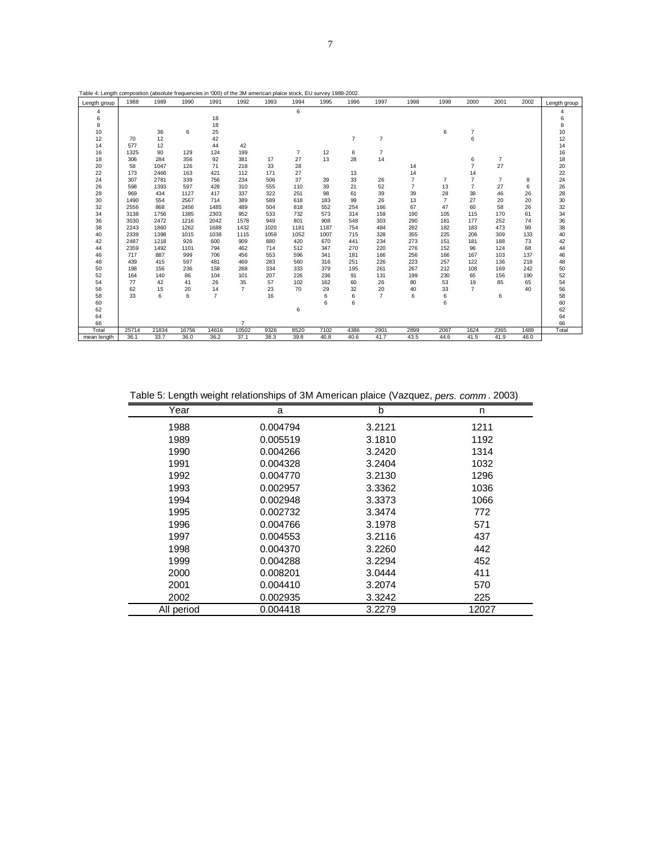| Table 4: Length composition (absolute frequencies in '000) of the 3M american plaice stock, EU survey 1988-2002. |       |       |       |                |                |      |                |      |                |                |                |                |                |                |      |              |
|------------------------------------------------------------------------------------------------------------------|-------|-------|-------|----------------|----------------|------|----------------|------|----------------|----------------|----------------|----------------|----------------|----------------|------|--------------|
| Length group                                                                                                     | 1988  | 1989  | 1990  | 1991           | 1992           | 1993 | 1994           | 1995 | 1996           | 1997           | 1998           | 1999           | 2000           | 2001           | 2002 | Length group |
| 4                                                                                                                |       |       |       |                |                |      | 6              |      |                |                |                |                |                |                |      |              |
| 6                                                                                                                |       |       |       | 18             |                |      |                |      |                |                |                |                |                |                |      | 6            |
| 8                                                                                                                |       |       |       | 18             |                |      |                |      |                |                |                |                |                |                |      | 8            |
| 10                                                                                                               |       | 36    | 6     | 25             |                |      |                |      |                |                |                | 6              | $\overline{7}$ |                |      | 10           |
| 12                                                                                                               | 70    | 12    |       | 42             |                |      |                |      | $\overline{7}$ | $\overline{7}$ |                |                | 6              |                |      | 12           |
| 14                                                                                                               | 577   | 12    |       | 44             | 42             |      |                |      |                |                |                |                |                |                |      | 14           |
| 16                                                                                                               | 1325  | 90    | 129   | 124            | 199            |      | $\overline{7}$ | 12   | 6              | $\overline{7}$ |                |                |                |                |      | 16           |
| 18                                                                                                               | 306   | 284   | 356   | 92             | 381            | 17   | 27             | 13   | 28             | 14             |                |                | 6              | $\overline{7}$ |      | 18           |
| 20                                                                                                               | 58    | 1047  | 126   | 71             | 218            | 33   | 28             |      |                |                | 14             |                | $\overline{7}$ | 27             |      | 20           |
| 22                                                                                                               | 173   | 2466  | 163   | 421            | 112            | 171  | 27             |      | 13             |                | 14             |                | 14             |                |      | 22           |
| 24                                                                                                               | 307   | 2781  | 339   | 756            | 234            | 506  | 37             | 39   | 33             | 26             | $\overline{7}$ | $\overline{7}$ | $\overline{7}$ | $\overline{7}$ | 8    | 24           |
| 26                                                                                                               | 598   | 1393  | 597   | 428            | 310            | 555  | 110            | 39   | 21             | 52             | $\overline{7}$ | 13             | $\overline{7}$ | 27             | 6    | 26           |
| 28                                                                                                               | 969   | 434   | 1127  | 417            | 337            | 322  | 251            | 98   | 61             | 39             | 39             | 28             | 38             | 46             | 26   | 28           |
| 30                                                                                                               | 1490  | 554   | 2567  | 714            | 389            | 589  | 618            | 183  | 99             | 26             | 13             | $\overline{7}$ | 27             | 20             | 20   | 30           |
| 32                                                                                                               | 2556  | 868   | 2456  | 1485           | 489            | 504  | 818            | 552  | 254            | 166            | 67             | 47             | 60             | 58             | 26   | 32           |
| 34                                                                                                               | 3138  | 1756  | 1385  | 2303           | 952            | 533  | 732            | 573  | 314            | 159            | 190            | 105            | 115            | 170            | 61   | 34           |
| 36                                                                                                               | 3030  | 2472  | 1216  | 2042           | 1578           | 949  | 801            | 908  | 548            | 303            | 290            | 181            | 177            | 252            | 74   | 36           |
| 38                                                                                                               | 2243  | 1860  | 1262  | 1688           | 1432           | 1020 | 1181           | 1187 | 754            | 484            | 282            | 182            | 183            | 473            | 99   | 38           |
| 40                                                                                                               | 2339  | 1398  | 1015  | 1038           | 1115           | 1059 | 1052           | 1007 | 715            | 328            | 355            | 225            | 206            | 309            | 133  | 40           |
| 42                                                                                                               | 2487  | 1218  | 926   | 600            | 909            | 880  | 420            | 670  | 441            | 234            | 273            | 151            | 181            | 188            | 73   | 42           |
| 44                                                                                                               | 2359  | 1492  | 1101  | 794            | 462            | 714  | 512            | 347  | 270            | 220            | 276            | 152            | 96             | 124            | 68   | 44           |
| 46                                                                                                               | 717   | 887   | 999   | 706            | 456            | 553  | 596            | 341  | 181            | 166            | 256            | 166            | 167            | 103            | 137  | 46           |
| 48                                                                                                               | 439   | 415   | 597   | 481            | 469            | 283  | 560            | 316  | 251            | 226            | 223            | 257            | 122            | 136            | 218  | 48           |
| 50                                                                                                               | 198   | 156   | 236   | 158            | 268            | 334  | 333            | 379  | 195            | 261            | 267            | 212            | 108            | 169            | 242  | 50           |
| 52                                                                                                               | 164   | 140   | 86    | 104            | 101            | 207  | 226            | 236  | 91             | 131            | 199            | 230            | 65             | 156            | 190  | 52           |
| 54                                                                                                               | 77    | 42    | 41    | 26             | 35             | 57   | 102            | 162  | 60             | 26             | 80             | 53             | 19             | 85             | 65   | 54           |
| 56                                                                                                               | 62    | 15    | 20    | 14             | $\overline{7}$ | 23   | 70             | 29   | 32             | 20             | 40             | 33             | $\overline{7}$ |                | 40   | 56           |
| 58                                                                                                               | 33    | 6     | 6     | $\overline{7}$ |                | 16   |                | 6    | 6              | $\overline{7}$ | 6              | 6              |                | 6              |      | 58           |
| 60                                                                                                               |       |       |       |                |                |      |                | 6    | 6              |                |                | 6              |                |                |      | 60           |
| 62                                                                                                               |       |       |       |                |                |      | 6              |      |                |                |                |                |                |                |      | 62           |
| 64                                                                                                               |       |       |       |                |                |      |                |      |                |                |                |                |                |                |      | 64           |
| 66                                                                                                               |       |       |       |                | $\overline{7}$ |      |                |      |                |                |                |                |                |                |      | 66           |
| Total                                                                                                            | 25714 | 21834 | 16756 | 14616          | 10502          | 9326 | 8520           | 7102 | 4386           | 2901           | 2899           | 2067           | 1624           | 2365           | 1489 | Total        |
| mean length                                                                                                      | 36.1  | 33.7  | 36.0  | 36.2           | 37.1           | 38.3 | 39.8           | 40.8 | 40.6           | 41.7           | 43.5           | 44.6           | 41.5           | 41.9           | 46.0 |              |

Table 5: Length weight relationships of 3M American plaice (Vazquez, *pers. comm* . 2003)

| Year       | a        | b      | n     |
|------------|----------|--------|-------|
| 1988       | 0.004794 | 3.2121 | 1211  |
| 1989       | 0.005519 | 3.1810 | 1192  |
| 1990       | 0.004266 | 3.2420 | 1314  |
| 1991       | 0.004328 | 3.2404 | 1032  |
| 1992       | 0.004770 | 3.2130 | 1296  |
| 1993       | 0.002957 | 3.3362 | 1036  |
| 1994       | 0.002948 | 3.3373 | 1066  |
| 1995       | 0.002732 | 3.3474 | 772   |
| 1996       | 0.004766 | 3.1978 | 571   |
| 1997       | 0.004553 | 3.2116 | 437   |
| 1998       | 0.004370 | 3.2260 | 442   |
| 1999       | 0.004288 | 3.2294 | 452   |
| 2000       | 0.008201 | 3.0444 | 411   |
| 2001       | 0.004410 | 3.2074 | 570   |
| 2002       | 0.002935 | 3.3242 | 225   |
| All period | 0.004418 | 3.2279 | 12027 |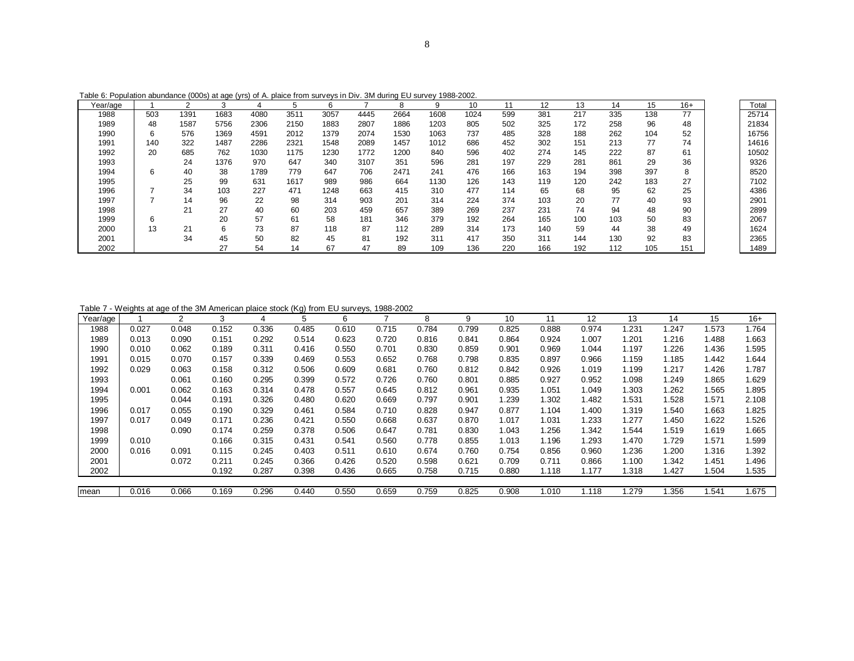| Table 6: Population abundance (000s) at age (yrs) of A. plaice from surveys in Div. 3M during EU survey 1988-2002. |  |  |
|--------------------------------------------------------------------------------------------------------------------|--|--|
|                                                                                                                    |  |  |

| Year/age |     |      |      |      |      | 6    |      |      | 9    | 10   |     | 12  | 13  | 14  | 15  | $16+$ |
|----------|-----|------|------|------|------|------|------|------|------|------|-----|-----|-----|-----|-----|-------|
| 1988     | 503 | 1391 | 1683 | 4080 | 3511 | 3057 | 4445 | 2664 | 1608 | 1024 | 599 | 381 | 217 | 335 | 138 | 77    |
| 1989     | 48  | 1587 | 5756 | 2306 | 2150 | 1883 | 2807 | 1886 | 1203 | 805  | 502 | 325 | 172 | 258 | 96  | 48    |
| 1990     | 6   | 576  | 1369 | 4591 | 2012 | 1379 | 2074 | 1530 | 1063 | 737  | 485 | 328 | 188 | 262 | 104 | 52    |
| 1991     | 140 | 322  | 1487 | 2286 | 2321 | 1548 | 2089 | 1457 | 1012 | 686  | 452 | 302 | 151 | 213 | 77  | 74    |
| 1992     | 20  | 685  | 762  | 1030 | 1175 | 1230 | 1772 | 1200 | 840  | 596  | 402 | 274 | 145 | 222 | 87  | 61    |
| 1993     |     | 24   | 1376 | 970  | 647  | 340  | 3107 | 351  | 596  | 281  | 197 | 229 | 281 | 861 | 29  | 36    |
| 1994     | 6   | 40   | 38   | 1789 | 779  | 647  | 706  | 2471 | 241  | 476  | 166 | 163 | 194 | 398 | 397 | 8     |
| 1995     |     | 25   | 99   | 631  | 1617 | 989  | 986  | 664  | 1130 | 126  | 143 | 119 | 120 | 242 | 183 | 27    |
| 1996     |     | 34   | 103  | 227  | 471  | 1248 | 663  | 415  | 310  | 477  | 114 | 65  | 68  | 95  | 62  | 25    |
| 1997     |     | 14   | 96   | 22   | 98   | 314  | 903  | 201  | 314  | 224  | 374 | 103 | 20  | 77  | 40  | 93    |
| 1998     |     | 21   | 27   | 40   | 60   | 203  | 459  | 657  | 389  | 269  | 237 | 231 | 74  | 94  | 48  | 90    |
| 1999     | 6   |      | 20   | 57   | 61   | 58   | 181  | 346  | 379  | 192  | 264 | 165 | 100 | 103 | 50  | 83    |
| 2000     | 13  | 21   | 6    | 73   | 87   | 118  | 87   | 112  | 289  | 314  | 173 | 140 | 59  | 44  | 38  | 49    |
| 2001     |     | 34   | 45   | 50   | 82   | 45   | 81   | 192  | 311  | 417  | 350 | 311 | 144 | 130 | 92  | 83    |
| 2002     |     |      | 27   | 54   | 14   | 67   | 47   | 89   | 109  | 136  | 220 | 166 | 192 | 112 | 105 | 151   |

Table 7 - Weights at age of the 3M American plaice stock (Kg) from EU surveys, 1988-2002

| Year/age |       | 2     | 3     |       | 5     | 6     |       | 8     | 9     | 10    | 11    | 12    | 13    | 14    | 15    | $16+$ |
|----------|-------|-------|-------|-------|-------|-------|-------|-------|-------|-------|-------|-------|-------|-------|-------|-------|
| 1988     | 0.027 | 0.048 | 0.152 | 0.336 | 0.485 | 0.610 | 0.715 | 0.784 | 0.799 | 0.825 | 0.888 | 0.974 | 1.231 | 1.247 | 1.573 | 1.764 |
| 1989     | 0.013 | 0.090 | 0.151 | 0.292 | 0.514 | 0.623 | 0.720 | 0.816 | 0.841 | 0.864 | 0.924 | 1.007 | 201.ا | 1.216 | 1.488 | 1.663 |
| 1990     | 0.010 | 0.062 | 0.189 | 0.311 | 0.416 | 0.550 | 0.701 | 0.830 | 0.859 | 0.901 | 0.969 | 1.044 | 1.197 | .226  | 1.436 | 1.595 |
| 1991     | 0.015 | 0.070 | 0.157 | 0.339 | 0.469 | 0.553 | 0.652 | 0.768 | 0.798 | 0.835 | 0.897 | 0.966 | 1.159 | 1.185 | 1.442 | 1.644 |
| 1992     | 0.029 | 0.063 | 0.158 | 0.312 | 0.506 | 0.609 | 0.681 | 0.760 | 0.812 | 0.842 | 0.926 | 1.019 | 1.199 | 1.217 | 1.426 | 1.787 |
| 1993     |       | 0.061 | 0.160 | 0.295 | 0.399 | 0.572 | 0.726 | 0.760 | 0.801 | 0.885 | 0.927 | 0.952 | 1.098 | .249  | 1.865 | 1.629 |
| 1994     | 0.001 | 0.062 | 0.163 | 0.314 | 0.478 | 0.557 | 0.645 | 0.812 | 0.961 | 0.935 | 1.051 | 1.049 | 1.303 | .262  | 1.565 | 1.895 |
| 1995     |       | 0.044 | 0.191 | 0.326 | 0.480 | 0.620 | 0.669 | 0.797 | 0.901 | 1.239 | 1.302 | 1.482 | 1.531 | .528  | 1.571 | 2.108 |
| 1996     | 0.017 | 0.055 | 0.190 | 0.329 | 0.461 | 0.584 | 0.710 | 0.828 | 0.947 | 0.877 | 1.104 | 1.400 | 1.319 | .540  | 1.663 | 1.825 |
| 1997     | 0.017 | 0.049 | 0.171 | 0.236 | 0.421 | 0.550 | 0.668 | 0.637 | 0.870 | 1.017 | 1.031 | 1.233 | 1.277 | .450  | 1.622 | 1.526 |
| 1998     |       | 0.090 | 0.174 | 0.259 | 0.378 | 0.506 | 0.647 | 0.781 | 0.830 | 1.043 | 1.256 | 1.342 | 1.544 | .519  | 1.619 | 1.665 |
| 1999     | 0.010 |       | 0.166 | 0.315 | 0.431 | 0.541 | 0.560 | 0.778 | 0.855 | 1.013 | 1.196 | 1.293 | 1.470 | .729  | 1.571 | 1.599 |
| 2000     | 0.016 | 0.091 | 0.115 | 0.245 | 0.403 | 0.511 | 0.610 | 0.674 | 0.760 | 0.754 | 0.856 | 0.960 | 1.236 | 1.200 | 1.316 | 1.392 |
| 2001     |       | 0.072 | 0.211 | 0.245 | 0.366 | 0.426 | 0.520 | 0.598 | 0.621 | 0.709 | 0.711 | 0.866 | 1.100 | 1.342 | 1.451 | 1.496 |
| 2002     |       |       | 0.192 | 0.287 | 0.398 | 0.436 | 0.665 | 0.758 | 0.715 | 0.880 | 1.118 | 1.177 | 1.318 | 1.427 | 1.504 | 1.535 |
|          |       |       |       |       |       |       |       |       |       |       |       |       |       |       |       |       |
| mean     | 0.016 | 0.066 | 0.169 | 0.296 | 0.440 | 0.550 | 0.659 | 0.759 | 0.825 | 0.908 | 1.010 | 1.118 | .279  | .356  | 1.541 | 1.675 |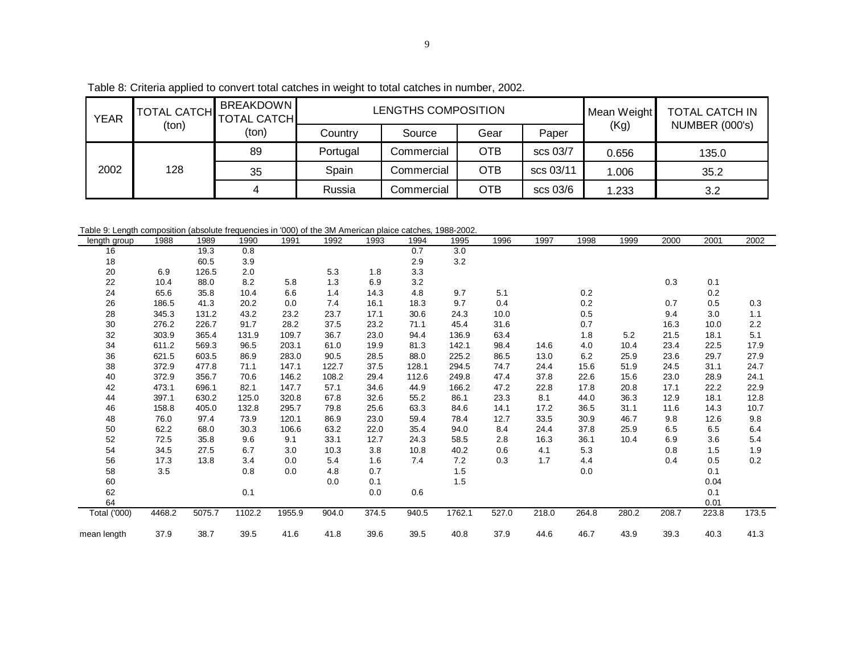|                    | ia applied to convert total catches in weight to total catches in number, 2002. |           |
|--------------------|---------------------------------------------------------------------------------|-----------|
| AL CATCH BREAKDOWN | LENGTHS COMPOSITION                                                             | Mean Weid |

|             | Table 8: Criteria applied to convert total catches in weight to total catches in number, 2002. |                                        |          |                     |            |           |             |                       |  |  |  |  |  |
|-------------|------------------------------------------------------------------------------------------------|----------------------------------------|----------|---------------------|------------|-----------|-------------|-----------------------|--|--|--|--|--|
| <b>YEAR</b> | TOTAL CATCH $\frac{1}{2}$                                                                      | <b>BREAKDOWN</b><br><b>TOTAL CATCH</b> |          | LENGTHS COMPOSITION |            |           | Mean Weight | <b>TOTAL CATCH IN</b> |  |  |  |  |  |
|             | (ton)                                                                                          | (ton)                                  | Country  | Source              | Gear       | Paper     | (Kg)        | NUMBER (000's)        |  |  |  |  |  |
|             |                                                                                                | 89                                     | Portugal | Commercial          | <b>OTB</b> | scs 03/7  | 0.656       | 135.0                 |  |  |  |  |  |
| 2002        | 128                                                                                            | 35                                     | Spain    | Commercial          | <b>OTB</b> | scs 03/11 | 1.006       | 35.2                  |  |  |  |  |  |
|             |                                                                                                |                                        | Russia   | Commercial          | <b>OTB</b> | scs 03/6  | 1.233       | 3.2                   |  |  |  |  |  |

Table 9: Length composition (absolute frequencies in '000) of the 3M American plaice catches, 1988-2002.

| length group | 1988   | 1989   | 1990   | 1991   | 1992  | 1993  | 1994  | 1995   | 1996  | 1997  | 1998  | 1999  | 2000  | 2001  | 2002  |
|--------------|--------|--------|--------|--------|-------|-------|-------|--------|-------|-------|-------|-------|-------|-------|-------|
| 16           |        | 19.3   | 0.8    |        |       |       | 0.7   | 3.0    |       |       |       |       |       |       |       |
| 18           |        | 60.5   | 3.9    |        |       |       | 2.9   | 3.2    |       |       |       |       |       |       |       |
| 20           | 6.9    | 126.5  | 2.0    |        | 5.3   | 1.8   | 3.3   |        |       |       |       |       |       |       |       |
| 22           | 10.4   | 88.0   | 8.2    | 5.8    | 1.3   | 6.9   | 3.2   |        |       |       |       |       | 0.3   | 0.1   |       |
| 24           | 65.6   | 35.8   | 10.4   | 6.6    | 1.4   | 14.3  | 4.8   | 9.7    | 5.1   |       | 0.2   |       |       | 0.2   |       |
| 26           | 186.5  | 41.3   | 20.2   | 0.0    | 7.4   | 16.1  | 18.3  | 9.7    | 0.4   |       | 0.2   |       | 0.7   | 0.5   | 0.3   |
| 28           | 345.3  | 131.2  | 43.2   | 23.2   | 23.7  | 17.1  | 30.6  | 24.3   | 10.0  |       | 0.5   |       | 9.4   | 3.0   | 1.1   |
| 30           | 276.2  | 226.7  | 91.7   | 28.2   | 37.5  | 23.2  | 71.1  | 45.4   | 31.6  |       | 0.7   |       | 16.3  | 10.0  | 2.2   |
| 32           | 303.9  | 365.4  | 131.9  | 109.7  | 36.7  | 23.0  | 94.4  | 136.9  | 63.4  |       | 1.8   | 5.2   | 21.5  | 18.1  | 5.1   |
| 34           | 611.2  | 569.3  | 96.5   | 203.1  | 61.0  | 19.9  | 81.3  | 142.1  | 98.4  | 14.6  | 4.0   | 10.4  | 23.4  | 22.5  | 17.9  |
| 36           | 621.5  | 603.5  | 86.9   | 283.0  | 90.5  | 28.5  | 88.0  | 225.2  | 86.5  | 13.0  | 6.2   | 25.9  | 23.6  | 29.7  | 27.9  |
| 38           | 372.9  | 477.8  | 71.1   | 147.1  | 122.7 | 37.5  | 128.1 | 294.5  | 74.7  | 24.4  | 15.6  | 51.9  | 24.5  | 31.1  | 24.7  |
| 40           | 372.9  | 356.7  | 70.6   | 146.2  | 108.2 | 29.4  | 112.6 | 249.8  | 47.4  | 37.8  | 22.6  | 15.6  | 23.0  | 28.9  | 24.1  |
| 42           | 473.1  | 696.1  | 82.1   | 147.7  | 57.1  | 34.6  | 44.9  | 166.2  | 47.2  | 22.8  | 17.8  | 20.8  | 17.1  | 22.2  | 22.9  |
| 44           | 397.1  | 630.2  | 125.0  | 320.8  | 67.8  | 32.6  | 55.2  | 86.1   | 23.3  | 8.1   | 44.0  | 36.3  | 12.9  | 18.1  | 12.8  |
| 46           | 158.8  | 405.0  | 132.8  | 295.7  | 79.8  | 25.6  | 63.3  | 84.6   | 14.1  | 17.2  | 36.5  | 31.1  | 11.6  | 14.3  | 10.7  |
| 48           | 76.0   | 97.4   | 73.9   | 120.1  | 86.9  | 23.0  | 59.4  | 78.4   | 12.7  | 33.5  | 30.9  | 46.7  | 9.8   | 12.6  | 9.8   |
| 50           | 62.2   | 68.0   | 30.3   | 106.6  | 63.2  | 22.0  | 35.4  | 94.0   | 8.4   | 24.4  | 37.8  | 25.9  | 6.5   | 6.5   | 6.4   |
| 52           | 72.5   | 35.8   | 9.6    | 9.1    | 33.1  | 12.7  | 24.3  | 58.5   | 2.8   | 16.3  | 36.1  | 10.4  | 6.9   | 3.6   | 5.4   |
| 54           | 34.5   | 27.5   | 6.7    | 3.0    | 10.3  | 3.8   | 10.8  | 40.2   | 0.6   | 4.1   | 5.3   |       | 0.8   | 1.5   | 1.9   |
| 56           | 17.3   | 13.8   | 3.4    | 0.0    | 5.4   | 1.6   | 7.4   | 7.2    | 0.3   | 1.7   | 4.4   |       | 0.4   | 0.5   | 0.2   |
| 58           | 3.5    |        | 0.8    | 0.0    | 4.8   | 0.7   |       | 1.5    |       |       | 0.0   |       |       | 0.1   |       |
| 60           |        |        |        |        | 0.0   | 0.1   |       | 1.5    |       |       |       |       |       | 0.04  |       |
| 62           |        |        | 0.1    |        |       | 0.0   | 0.6   |        |       |       |       |       |       | 0.1   |       |
| 64           |        |        |        |        |       |       |       |        |       |       |       |       |       | 0.01  |       |
| Total ('000) | 4468.2 | 5075.7 | 1102.2 | 1955.9 | 904.0 | 374.5 | 940.5 | 1762.1 | 527.0 | 218.0 | 264.8 | 280.2 | 208.7 | 223.8 | 173.5 |
| mean length  | 37.9   | 38.7   | 39.5   | 41.6   | 41.8  | 39.6  | 39.5  | 40.8   | 37.9  | 44.6  | 46.7  | 43.9  | 39.3  | 40.3  | 41.3  |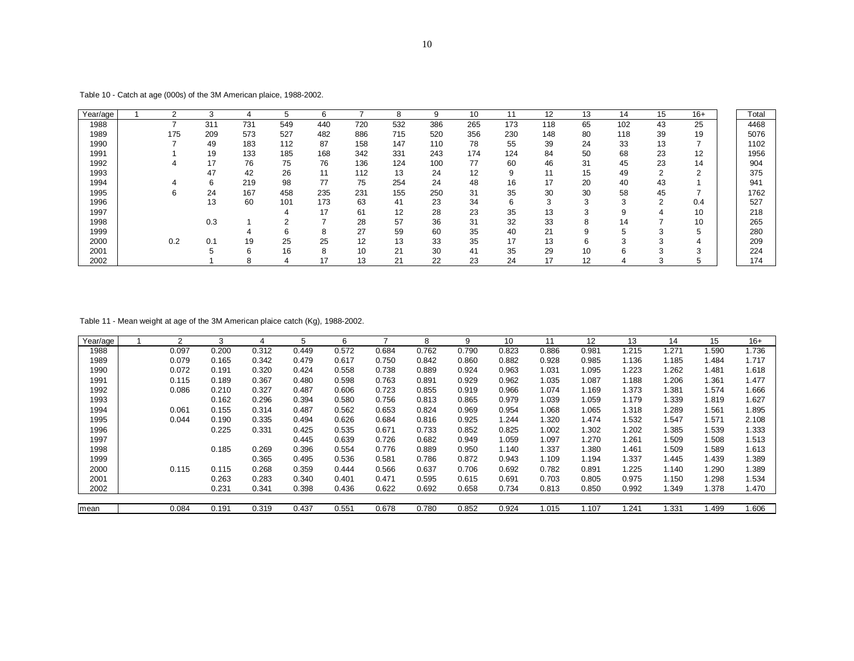| Year/age | $\sqrt{2}$ | З   | 4   | 5   | 6   |     | 8   | 9   | 10  | 11  | 12  | 13 | 14  | 15             | $16+$      | Total |
|----------|------------|-----|-----|-----|-----|-----|-----|-----|-----|-----|-----|----|-----|----------------|------------|-------|
| 1988     |            | 311 | 731 | 549 | 440 | 720 | 532 | 386 | 265 | 173 | 118 | 65 | 102 | 43             | 25         | 4468  |
| 1989     | 175        | 209 | 573 | 527 | 482 | 886 | 715 | 520 | 356 | 230 | 148 | 80 | 118 | 39             | 19         | 5076  |
| 1990     |            | 49  | 183 | 112 | 87  | 158 | 147 | 110 | 78  | 55  | 39  | 24 | 33  | 13             |            | 1102  |
| 1991     |            | 19  | 133 | 185 | 168 | 342 | 331 | 243 | 174 | 124 | 84  | 50 | 68  | 23             | 12         | 1956  |
| 1992     | 4          | 17  | 76  | 75  | 76  | 136 | 124 | 100 | 77  | 60  | 46  | 31 | 45  | 23             | 14         | 904   |
| 1993     |            | 47  | 42  | 26  | 11  | 112 | 13  | 24  | 12  | 9   | 11  | 15 | 49  | $\overline{2}$ | $\Omega$   | 375   |
| 1994     | 4          | 6   | 219 | 98  | 77  | 75  | 254 | 24  | 48  | 16  | 17  | 20 | 40  | 43             |            | 941   |
| 1995     | 6          | 24  | 167 | 458 | 235 | 231 | 155 | 250 | 31  | 35  | 30  | 30 | 58  | 45             |            | 1762  |
| 1996     |            | 13  | 60  | 101 | 173 | 63  | 41  | 23  | 34  | 6   | 3   | 3  | 3   | 2              | 0.4        | 527   |
| 1997     |            |     |     | 4   | 17  | 61  | 12  | 28  | 23  | 35  | 13  | 3  | 9   | 4              | 10         | 218   |
| 1998     |            | 0.3 |     | ົ   | -   | 28  | 57  | 36  | 31  | 32  | 33  | 8  | 14  | $\rightarrow$  | 10         | 265   |
| 1999     |            |     |     | 6   | 8   | 27  | 59  | 60  | 35  | 40  | 21  | 9  | 5   | ົ<br>5         | 5          | 280   |
| 2000     | 0.2        | 0.1 | 19  | 25  | 25  | 12  | 13  | 33  | 35  | 17  | 13  | 6  | 3   | 3              | 4          | 209   |
| 2001     |            |     | 6   | 16  | 8   | 10  | 21  | 30  | 41  | 35  | 29  | 10 | 6   | 3              | $\sqrt{2}$ | 224   |
| 2002     |            |     | 8   | 4   | 17  | 13  | 21  | 22  | 23  | 24  | 17  | 12 | 4   | 3              | Ð          | 174   |

Table 10 - Catch at age (000s) of the 3M American plaice, 1988-2002.

Table 11 - Mean weight at age of the 3M American plaice catch (Kg), 1988-2002.

| Year/age | ◠     | 3     | 4     | 5     | 6     |       | 8     | 9     | 10    | 11    | 12    | 13    | 14    | 15               | $16+$ |
|----------|-------|-------|-------|-------|-------|-------|-------|-------|-------|-------|-------|-------|-------|------------------|-------|
| 1988     | 0.097 | 0.200 | 0.312 | 0.449 | 0.572 | 0.684 | 0.762 | 0.790 | 0.823 | 0.886 | 0.981 | 1.215 | 1.271 | .590             | 1.736 |
| 1989     | 0.079 | 0.165 | 0.342 | 0.479 | 0.617 | 0.750 | 0.842 | 0.860 | 0.882 | 0.928 | 0.985 | 1.136 | 1.185 | 1.484            | 1.717 |
| 1990     | 0.072 | 0.191 | 0.320 | 0.424 | 0.558 | 0.738 | 0.889 | 0.924 | 0.963 | 1.031 | 1.095 | 1.223 | 1.262 | 1.481            | 1.618 |
| 1991     | 0.115 | 0.189 | 0.367 | 0.480 | 0.598 | 0.763 | 0.891 | 0.929 | 0.962 | 1.035 | 1.087 | 1.188 | 1.206 | .36 <sup>1</sup> | 1.477 |
| 1992     | 0.086 | 0.210 | 0.327 | 0.487 | 0.606 | 0.723 | 0.855 | 0.919 | 0.966 | 1.074 | 1.169 | 1.373 | 1.381 | 1.574            | 1.666 |
| 1993     |       | 0.162 | 0.296 | 0.394 | 0.580 | 0.756 | 0.813 | 0.865 | 0.979 | 1.039 | 1.059 | 1.179 | 1.339 | 1.819            | i.627 |
| 1994     | 0.061 | 0.155 | 0.314 | 0.487 | 0.562 | 0.653 | 0.824 | 0.969 | 0.954 | 1.068 | 1.065 | 1.318 | 1.289 | 1.561            | 1.895 |
| 1995     | 0.044 | 0.190 | 0.335 | 0.494 | 0.626 | 0.684 | 0.816 | 0.925 | 1.244 | 1.320 | 1.474 | 1.532 | 1.547 | 1.571            | 2.108 |
| 1996     |       | 0.225 | 0.331 | 0.425 | 0.535 | 0.671 | 0.733 | 0.852 | 0.825 | 1.002 | 1.302 | 1.202 | 1.385 | 1.539            | 1.333 |
| 1997     |       |       |       | 0.445 | 0.639 | 0.726 | 0.682 | 0.949 | 1.059 | 1.097 | 1.270 | 1.261 | 1.509 | 1.508            | 1.513 |
| 1998     |       | 0.185 | 0.269 | 0.396 | 0.554 | 0.776 | 0.889 | 0.950 | 1.140 | 1.337 | 1.380 | 1.461 | 1.509 | 1.589            | 1.613 |
| 1999     |       |       | 0.365 | 0.495 | 0.536 | 0.581 | 0.786 | 0.872 | 0.943 | 1.109 | 1.194 | 1.337 | 1.445 | 1.439            | 1.389 |
| 2000     | 0.115 | 0.115 | 0.268 | 0.359 | 0.444 | 0.566 | 0.637 | 0.706 | 0.692 | 0.782 | 0.891 | 1.225 | 1.140 | 1.290            | 1.389 |
| 2001     |       | 0.263 | 0.283 | 0.340 | 0.401 | 0.471 | 0.595 | 0.615 | 0.691 | 0.703 | 0.805 | 0.975 | 1.150 | 1.298            | 1.534 |
| 2002     |       | 0.231 | 0.341 | 0.398 | 0.436 | 0.622 | 0.692 | 0.658 | 0.734 | 0.813 | 0.850 | 0.992 | 1.349 | 1.378            | 1.470 |
|          |       |       |       |       |       |       |       |       |       |       |       |       |       |                  |       |
| mean     | 0.084 | 0.191 | 0.319 | 0.437 | 0.551 | 0.678 | 0.780 | 0.852 | 0.924 | 1.015 | 1.107 | .241  | 1.331 | .499             | 1.606 |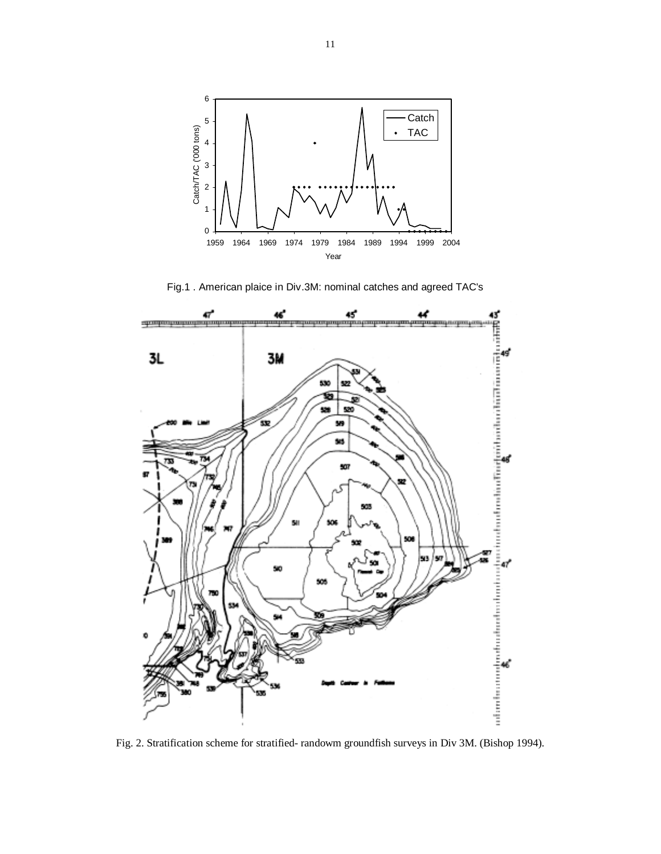

Fig.1 . American plaice in Div.3M: nominal catches and agreed TAC's



Fig. 2. Stratification scheme for stratified- randowm groundfish surveys in Div 3M. (Bishop 1994).